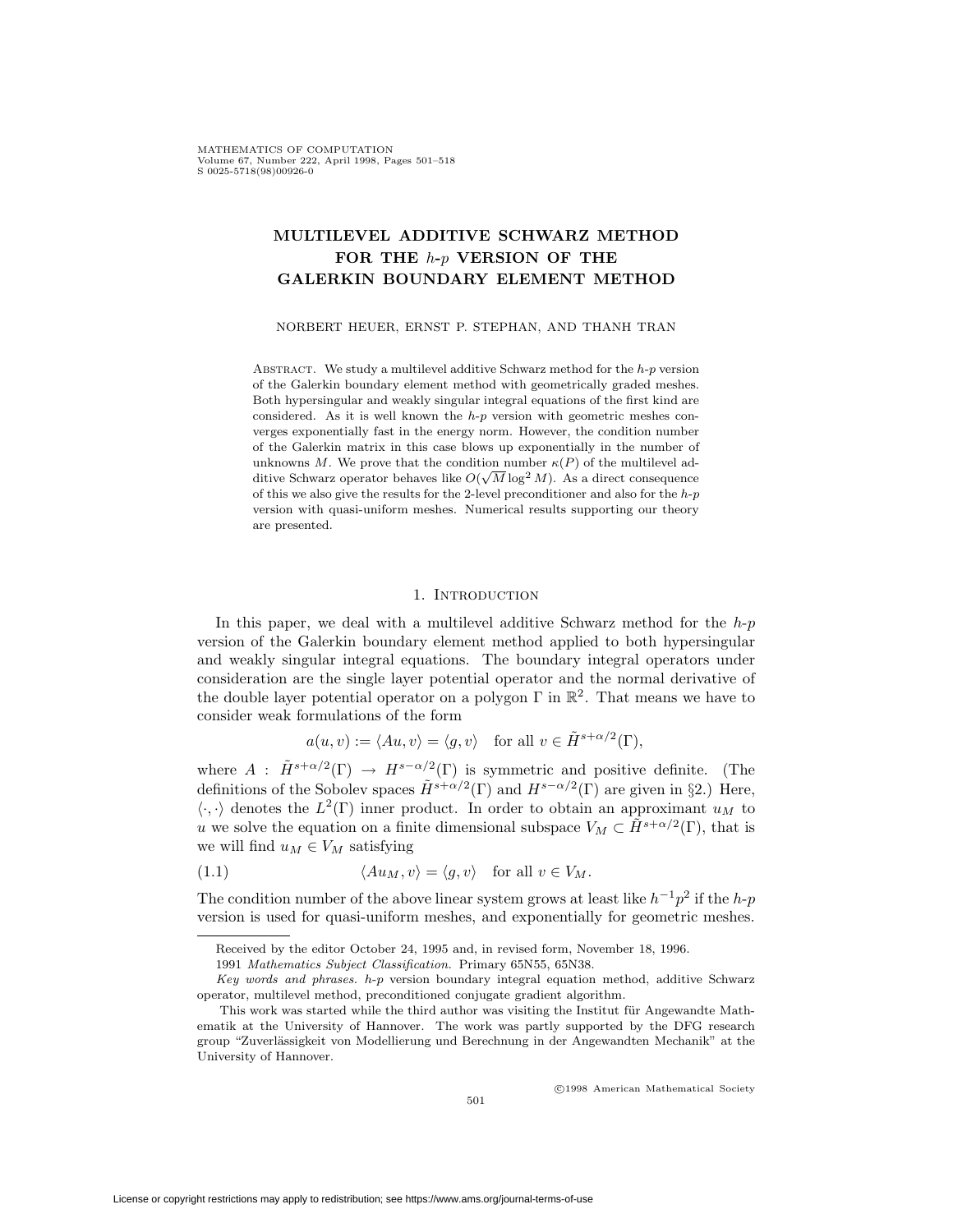MATHEMATICS OF COMPUTATION Volume 67, Number 222, April 1998, Pages 501-518  $S$  0025-5718(98)00926-0

# **MULTILEVEL ADDITIVE SCHWARZ METHOD FOR THE** *h***-***p* **VERSION OF THE GALERKIN BOUNDARY ELEMENT METHOD**

NORBERT HEUER, ERNST P. STEPHAN, AND THANH TRAN

Abstract. We study a multilevel additive Schwarz method for the *h*-*p* version of the Galerkin boundary element method with geometrically graded meshes. Both hypersingular and weakly singular integral equations of the first kind are considered. As it is well known the *h*-*p* version with geometric meshes converges exponentially fast in the energy norm. However, the condition number of the Galerkin matrix in this case blows up exponentially in the number of unknowns *M*. We prove that the condition number  $\kappa(P)$  of the multilevel additive Schwarz operator behaves like  $O(\sqrt{M} \log^2 M)$ . As a direct consequence of this we also give the results for the 2-level preconditioner and also for the *h*-*p* version with quasi-uniform meshes. Numerical results supporting our theory are presented.

## 1. INTRODUCTION

In this paper, we deal with a multilevel additive Schwarz method for the *h*-*p* version of the Galerkin boundary element method applied to both hypersingular and weakly singular integral equations. The boundary integral operators under consideration are the single layer potential operator and the normal derivative of the double layer potential operator on a polygon  $\Gamma$  in  $\mathbb{R}^2$ . That means we have to consider weak formulations of the form

$$
a(u, v) := \langle Au, v \rangle = \langle g, v \rangle
$$
 for all  $v \in \tilde{H}^{s + \alpha/2}(\Gamma)$ ,

where  $A : \tilde{H}^{s+\alpha/2}(\Gamma) \to H^{s-\alpha/2}(\Gamma)$  is symmetric and positive definite. (The definitions of the Sobolev spaces  $\tilde{H}^{s+\alpha/2}(\Gamma)$  and  $H^{s-\alpha/2}(\Gamma)$  are given in §2.) Here,  $\langle \cdot, \cdot \rangle$  denotes the  $L^2(\Gamma)$  inner product. In order to obtain an approximant  $u_M$  to *u* we solve the equation on a finite dimensional subspace  $V_M \subset \tilde{H}^{s+\alpha/2}(\Gamma)$ , that is we will find  $u_M \in V_M$  satisfying

(1.1) 
$$
\langle Au_M, v \rangle = \langle g, v \rangle \text{ for all } v \in V_M.
$$

The condition number of the above linear system grows at least like  $h^{-1}p^2$  if the *h*-*p* version is used for quasi-uniform meshes, and exponentially for geometric meshes.

<sup>c</sup> 1998 American Mathematical Society

Received by the editor October 24, 1995 and, in revised form, November 18, 1996.

<sup>1991</sup> Mathematics Subject Classification. Primary 65N55, 65N38.

Key words and phrases. *h*-*p* version boundary integral equation method, additive Schwarz operator, multilevel method, preconditioned conjugate gradient algorithm.

This work was started while the third author was visiting the Institut für Angewandte Mathematik at the University of Hannover. The work was partly supported by the DFG research group "Zuverlässigkeit von Modellierung und Berechnung in der Angewandten Mechanik" at the University of Hannover.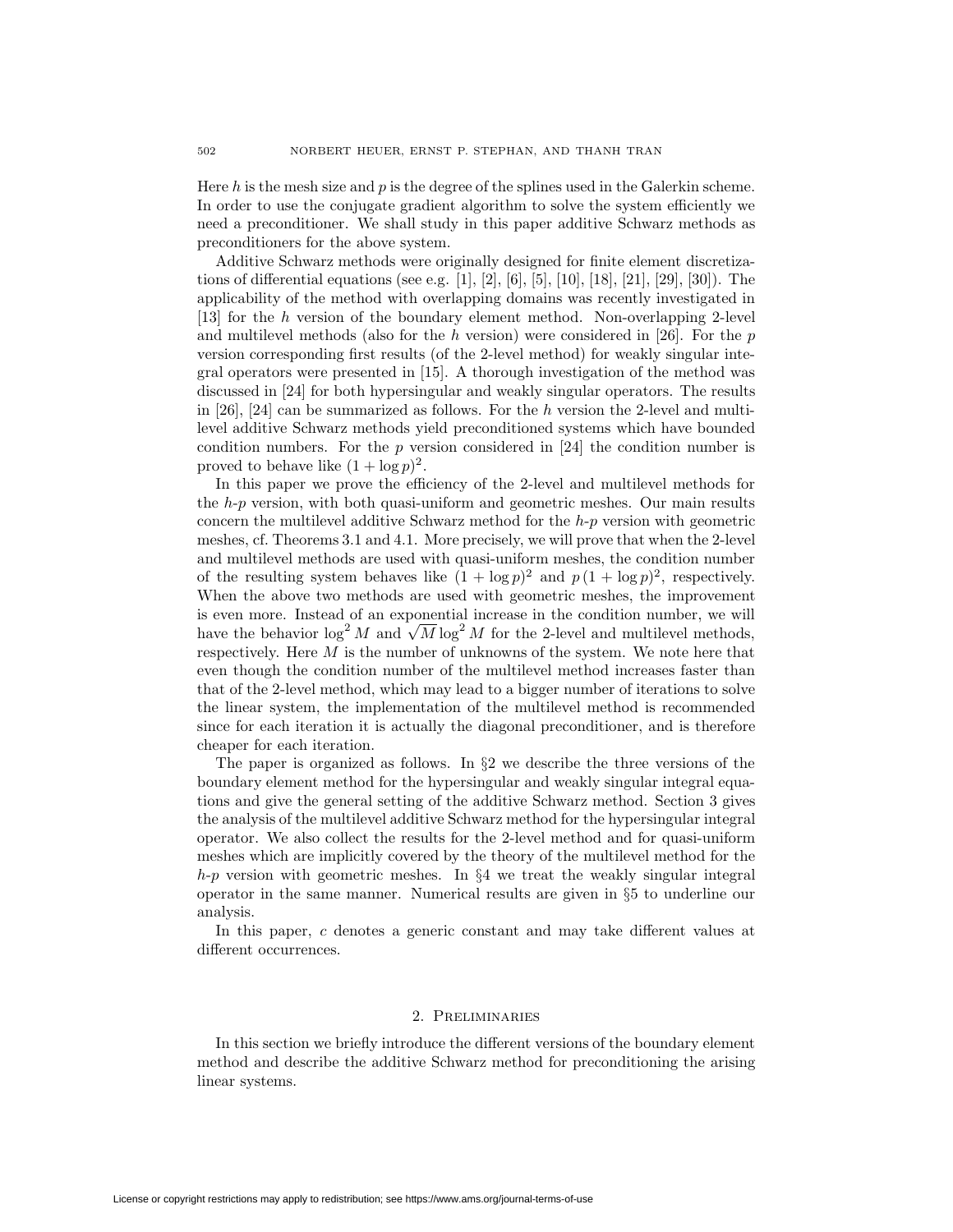Here *h* is the mesh size and *p* is the degree of the splines used in the Galerkin scheme. In order to use the conjugate gradient algorithm to solve the system efficiently we need a preconditioner. We shall study in this paper additive Schwarz methods as preconditioners for the above system.

Additive Schwarz methods were originally designed for finite element discretizations of differential equations (see e.g. [1], [2], [6], [5], [10], [18], [21], [29], [30]). The applicability of the method with overlapping domains was recently investigated in [13] for the *h* version of the boundary element method. Non-overlapping 2-level and multilevel methods (also for the *h* version) were considered in [26]. For the *p* version corresponding first results (of the 2-level method) for weakly singular integral operators were presented in [15]. A thorough investigation of the method was discussed in [24] for both hypersingular and weakly singular operators. The results in [26], [24] can be summarized as follows. For the *h* version the 2-level and multilevel additive Schwarz methods yield preconditioned systems which have bounded condition numbers. For the *p* version considered in [24] the condition number is proved to behave like  $(1 + \log p)^2$ .

In this paper we prove the efficiency of the 2-level and multilevel methods for the *h*-*p* version, with both quasi-uniform and geometric meshes. Our main results concern the multilevel additive Schwarz method for the *h*-*p* version with geometric meshes, cf. Theorems 3.1 and 4.1. More precisely, we will prove that when the 2-level and multilevel methods are used with quasi-uniform meshes, the condition number of the resulting system behaves like  $(1 + \log p)^2$  and  $p(1 + \log p)^2$ , respectively. When the above two methods are used with geometric meshes, the improvement is even more. Instead of an exponential increase in the condition number, we will is even more. Instead of an exponential increase in the condition number, we will<br>have the behavior  $\log^2 M$  and  $\sqrt{M} \log^2 M$  for the 2-level and multilevel methods, respectively. Here *M* is the number of unknowns of the system. We note here that even though the condition number of the multilevel method increases faster than that of the 2-level method, which may lead to a bigger number of iterations to solve the linear system, the implementation of the multilevel method is recommended since for each iteration it is actually the diagonal preconditioner, and is therefore cheaper for each iteration.

The paper is organized as follows. In *§*2 we describe the three versions of the boundary element method for the hypersingular and weakly singular integral equations and give the general setting of the additive Schwarz method. Section 3 gives the analysis of the multilevel additive Schwarz method for the hypersingular integral operator. We also collect the results for the 2-level method and for quasi-uniform meshes which are implicitly covered by the theory of the multilevel method for the *h*-*p* version with geometric meshes. In *§*4 we treat the weakly singular integral operator in the same manner. Numerical results are given in *§*5 to underline our analysis.

In this paper, *c* denotes a generic constant and may take different values at different occurrences.

## 2. Preliminaries

In this section we briefly introduce the different versions of the boundary element method and describe the additive Schwarz method for preconditioning the arising linear systems.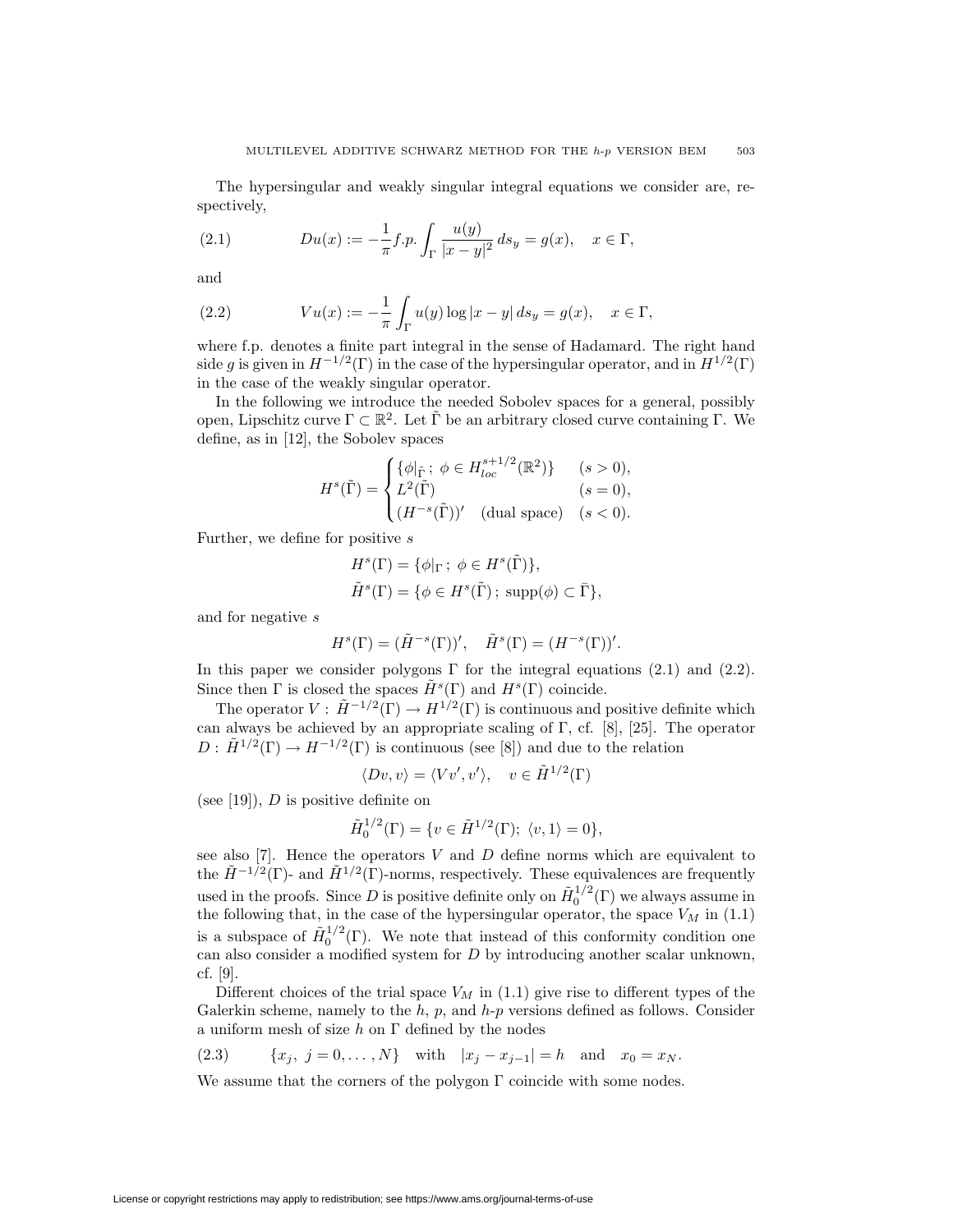The hypersingular and weakly singular integral equations we consider are, respectively,

(2.1) 
$$
Du(x) := -\frac{1}{\pi} f.p. \int_{\Gamma} \frac{u(y)}{|x - y|^2} ds_y = g(x), \quad x \in \Gamma,
$$

and

(2.2) 
$$
Vu(x) := -\frac{1}{\pi} \int_{\Gamma} u(y) \log |x - y| \, ds_y = g(x), \quad x \in \Gamma,
$$

where f.p. denotes a finite part integral in the sense of Hadamard. The right hand side *g* is given in  $H^{-1/2}(\Gamma)$  in the case of the hypersingular operator, and in  $H^{1/2}(\Gamma)$ in the case of the weakly singular operator.

In the following we introduce the needed Sobolev spaces for a general, possibly open, Lipschitz curve  $\Gamma \subset \mathbb{R}^2$ . Let  $\tilde{\Gamma}$  be an arbitrary closed curve containing  $\Gamma$ . We define, as in [12], the Sobolev spaces

$$
H^s(\tilde{\Gamma}) = \begin{cases} \{\phi|_{\tilde{\Gamma}}\,;\ \phi \in H_{loc}^{s+1/2}(\mathbb{R}^2)\} & (s > 0),\\ L^2(\tilde{\Gamma}) & (s = 0),\\ (H^{-s}(\tilde{\Gamma}))' & \text{(dual space)} \quad (s < 0). \end{cases}
$$

Further, we define for positive *s*

$$
H^{s}(\Gamma) = \{ \phi |_{\Gamma} \, ; \, \phi \in H^{s}(\tilde{\Gamma}) \},
$$
  

$$
\tilde{H}^{s}(\Gamma) = \{ \phi \in H^{s}(\tilde{\Gamma}) \, ; \, \text{supp}(\phi) \subset \bar{\Gamma} \},
$$

and for negative *s*

$$
H^s(\Gamma) = (\tilde{H}^{-s}(\Gamma))', \quad \tilde{H}^s(\Gamma) = (H^{-s}(\Gamma))'.
$$

In this paper we consider polygons  $\Gamma$  for the integral equations (2.1) and (2.2). Since then  $\Gamma$  is closed the spaces  $\tilde{H}^s(\Gamma)$  and  $H^s(\Gamma)$  coincide.

The operator  $V : \tilde{H}^{-1/2}(\Gamma) \to H^{1/2}(\Gamma)$  is continuous and positive definite which can always be achieved by an appropriate scaling of Γ, cf. [8], [25]. The operator  $D: \tilde{H}^{1/2}(\Gamma) \to H^{-1/2}(\Gamma)$  is continuous (see [8]) and due to the relation

$$
\langle Dv, v \rangle = \langle Vv', v' \rangle, \quad v \in \tilde{H}^{1/2}(\Gamma)
$$

(see [19]), *D* is positive definite on

$$
\tilde{H}_0^{1/2}(\Gamma) = \{ v \in \tilde{H}^{1/2}(\Gamma); \ \langle v, 1 \rangle = 0 \},
$$

see also [7]. Hence the operators *V* and *D* define norms which are equivalent to the  $\tilde{H}^{-1/2}(\Gamma)$ - and  $\tilde{H}^{1/2}(\Gamma)$ -norms, respectively. These equivalences are frequently used in the proofs. Since *D* is positive definite only on  $\tilde{H}^{1/2}_0(\Gamma)$  we always assume in the following that, in the case of the hypersingular operator, the space  $V_M$  in (1.1) is a subspace of  $\tilde{H}^{1/2}_0(\Gamma)$ . We note that instead of this conformity condition one can also consider a modified system for *D* by introducing another scalar unknown, cf. [9].

Different choices of the trial space  $V_M$  in  $(1.1)$  give rise to different types of the Galerkin scheme, namely to the *h*, *p*, and *h*-*p* versions defined as follows. Consider a uniform mesh of size *h* on Γ defined by the nodes

(2.3) 
$$
\{x_j, j = 0, ..., N\}
$$
 with  $|x_j - x_{j-1}| = h$  and  $x_0 = x_N$ .

We assume that the corners of the polygon  $\Gamma$  coincide with some nodes.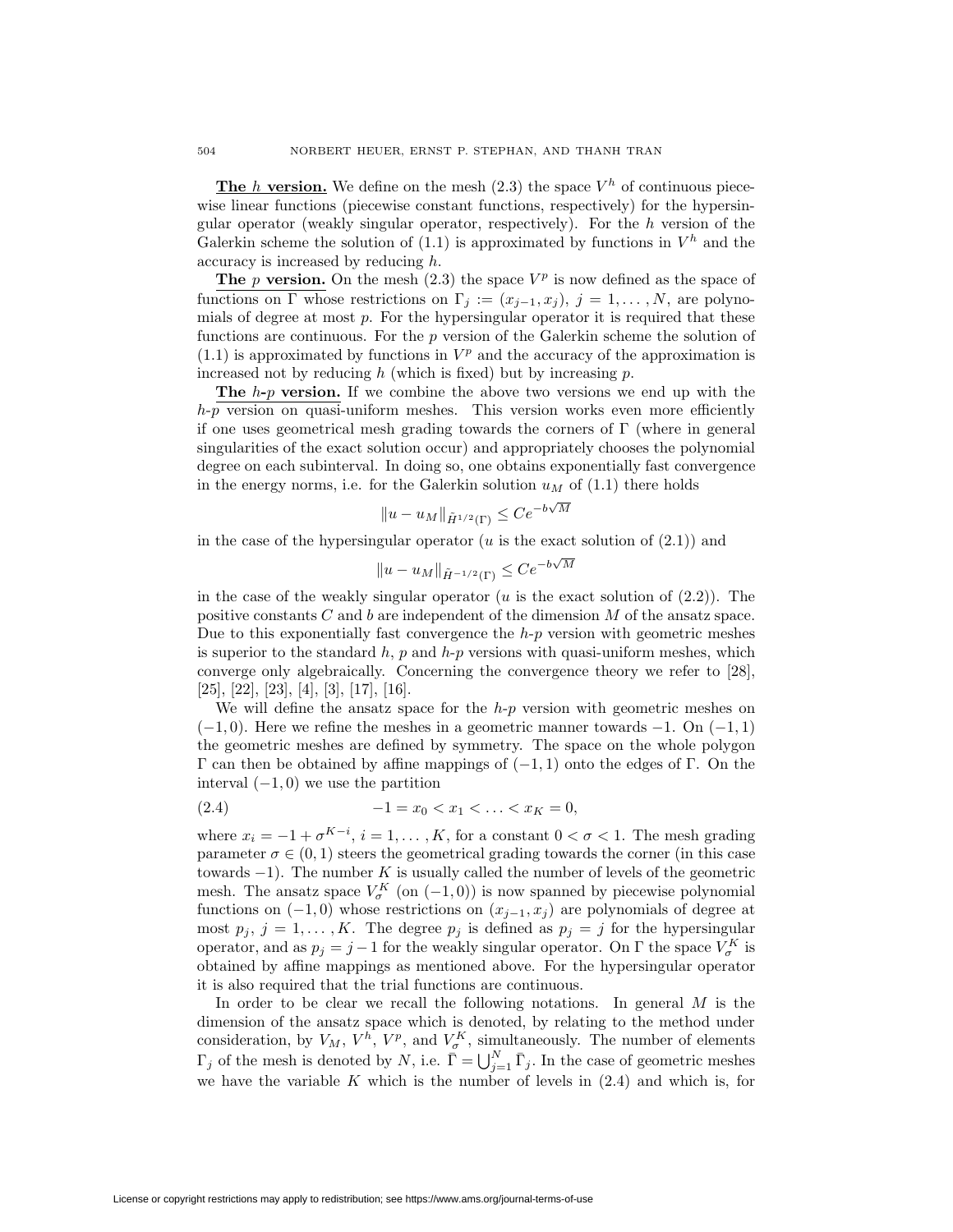**The** *h* **version.** We define on the mesh  $(2.3)$  the space  $V^h$  of continuous piecewise linear functions (piecewise constant functions, respectively) for the hypersingular operator (weakly singular operator, respectively). For the *h* version of the Galerkin scheme the solution of  $(1.1)$  is approximated by functions in  $V^h$  and the accuracy is increased by reducing *h*.

**The** *p* **version.** On the mesh  $(2.3)$  the space  $V^p$  is now defined as the space of functions on  $\Gamma$  whose restrictions on  $\Gamma_j := (x_{j-1}, x_j)$ ,  $j = 1, ..., N$ , are polynomials of degree at most *p*. For the hypersingular operator it is required that these functions are continuous. For the *p* version of the Galerkin scheme the solution of  $(1.1)$  is approximated by functions in  $V^p$  and the accuracy of the approximation is increased not by reducing *h* (which is fixed) but by increasing *p*.

**The** *h***-***p* **version.** If we combine the above two versions we end up with the *h*-*p* version on quasi-uniform meshes. This version works even more efficiently if one uses geometrical mesh grading towards the corners of  $\Gamma$  (where in general singularities of the exact solution occur) and appropriately chooses the polynomial degree on each subinterval. In doing so, one obtains exponentially fast convergence in the energy norms, i.e. for the Galerkin solution  $u_M$  of  $(1.1)$  there holds

$$
||u - u_M||_{\tilde{H}^{1/2}(\Gamma)} \leq Ce^{-b\sqrt{M}}
$$

in the case of the hypersingular operator  $(u$  is the exact solution of  $(2.1)$ ) and

$$
||u - u_M||_{\tilde{H}^{-1/2}(\Gamma)} \le Ce^{-b\sqrt{M}}
$$

in the case of the weakly singular operator  $(u$  is the exact solution of  $(2.2)$ ). The positive constants *C* and *b* are independent of the dimension *M* of the ansatz space. Due to this exponentially fast convergence the *h*-*p* version with geometric meshes is superior to the standard *h*, *p* and *h*-*p* versions with quasi-uniform meshes, which converge only algebraically. Concerning the convergence theory we refer to [28], [25], [22], [23], [4], [3], [17], [16].

We will define the ansatz space for the *h*-*p* version with geometric meshes on (*−*1*,* 0). Here we refine the meshes in a geometric manner towards *−*1. On (*−*1*,* 1) the geometric meshes are defined by symmetry. The space on the whole polygon Γ can then be obtained by affine mappings of (*−*1*,* 1) onto the edges of Γ. On the interval (*−*1*,* 0) we use the partition

$$
(2.4) \t -1 = x_0 < x_1 < \ldots < x_K = 0,
$$

where  $x_i = -1 + \sigma^{K-i}$ ,  $i = 1, \ldots, K$ , for a constant  $0 < \sigma < 1$ . The mesh grading parameter  $\sigma \in (0, 1)$  steers the geometrical grading towards the corner (in this case towards *−*1). The number *K* is usually called the number of levels of the geometric mesh. The ansatz space  $V_{\sigma}^{K}$  (on  $(-1,0)$ ) is now spanned by piecewise polynomial functions on  $(-1, 0)$  whose restrictions on  $(x_{j-1}, x_j)$  are polynomials of degree at most  $p_j$ ,  $j = 1, ..., K$ . The degree  $p_j$  is defined as  $p_j = j$  for the hypersingular operator, and as  $p_j = j - 1$  for the weakly singular operator. On  $\Gamma$  the space  $V_{\sigma}^K$  is obtained by affine mappings as mentioned above. For the hypersingular operator it is also required that the trial functions are continuous.

In order to be clear we recall the following notations. In general *M* is the dimension of the ansatz space which is denoted, by relating to the method under consideration, by  $V_M$ ,  $V^h$ ,  $V^p$ , and  $V^K_\sigma$ , simultaneously. The number of elements  $\Gamma_j$  of the mesh is denoted by *N*, i.e.  $\overline{\Gamma} = \bigcup_{j=1}^N \overline{\Gamma}_j$ . In the case of geometric meshes we have the variable *K* which is the number of levels in (2.4) and which is, for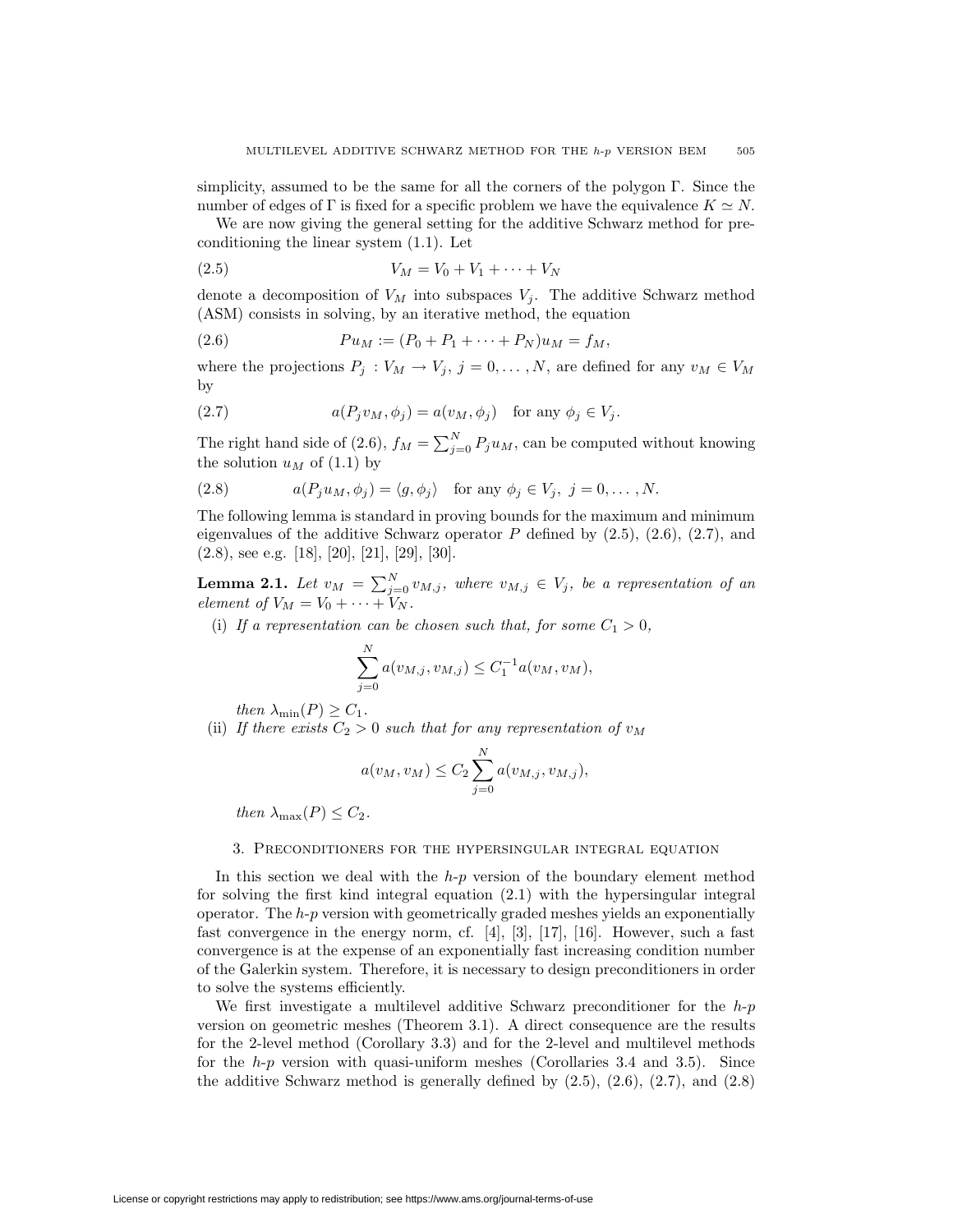simplicity, assumed to be the same for all the corners of the polygon  $\Gamma$ . Since the number of edges of  $\Gamma$  is fixed for a specific problem we have the equivalence  $K \simeq N$ .

We are now giving the general setting for the additive Schwarz method for preconditioning the linear system (1.1). Let

(2.5) 
$$
V_M = V_0 + V_1 + \dots + V_N
$$

denote a decomposition of  $V_M$  into subspaces  $V_j$ . The additive Schwarz method (ASM) consists in solving, by an iterative method, the equation

(2.6) 
$$
Pu_M := (P_0 + P_1 + \cdots + P_N)u_M = f_M,
$$

where the projections  $P_j: V_M \to V_j$ ,  $j = 0, \ldots, N$ , are defined for any  $v_M \in V_M$ by

(2.7) 
$$
a(P_j v_M, \phi_j) = a(v_M, \phi_j) \text{ for any } \phi_j \in V_j.
$$

The right hand side of (2.6),  $f_M = \sum_{j=0}^{N} P_j u_M$ , can be computed without knowing the solution  $u_M$  of (1.1) by

(2.8) 
$$
a(P_j u_M, \phi_j) = \langle g, \phi_j \rangle \text{ for any } \phi_j \in V_j, j = 0, ..., N.
$$

The following lemma is standard in proving bounds for the maximum and minimum eigenvalues of the additive Schwarz operator  $P$  defined by  $(2.5)$ ,  $(2.6)$ ,  $(2.7)$ , and  $(2.8)$ , see e.g. [18], [20], [21], [29], [30].

**Lemma 2.1.** *Let*  $v_M = \sum_{j=0}^N v_{M,j}$ , where  $v_{M,j} \in V_j$ , be a representation of an *element of*  $V_M = V_0 + \cdots + V_N$ .

(i) If a representation can be chosen such that, for some  $C_1 > 0$ ,

$$
\sum_{j=0}^{N} a(v_{M,j}, v_{M,j}) \leq C_1^{-1} a(v_M, v_M),
$$

*then*  $\lambda_{\min}(P) \geq C_1$ *.* 

(ii) If there exists  $C_2 > 0$  such that for any representation of  $v_M$ 

$$
a(v_M, v_M) \le C_2 \sum_{j=0}^{N} a(v_{M,j}, v_{M,j}),
$$

*then*  $\lambda_{\max}(P) \leq C_2$ *.* 

#### 3. Preconditioners for the hypersingular integral equation

In this section we deal with the *h*-*p* version of the boundary element method for solving the first kind integral equation (2.1) with the hypersingular integral operator. The *h*-*p* version with geometrically graded meshes yields an exponentially fast convergence in the energy norm, cf.  $[4]$ ,  $[3]$ ,  $[17]$ ,  $[16]$ . However, such a fast convergence is at the expense of an exponentially fast increasing condition number of the Galerkin system. Therefore, it is necessary to design preconditioners in order to solve the systems efficiently.

We first investigate a multilevel additive Schwarz preconditioner for the *h*-*p* version on geometric meshes (Theorem 3.1). A direct consequence are the results for the 2-level method (Corollary 3.3) and for the 2-level and multilevel methods for the *h*-*p* version with quasi-uniform meshes (Corollaries 3.4 and 3.5). Since the additive Schwarz method is generally defined by  $(2.5)$ ,  $(2.6)$ ,  $(2.7)$ , and  $(2.8)$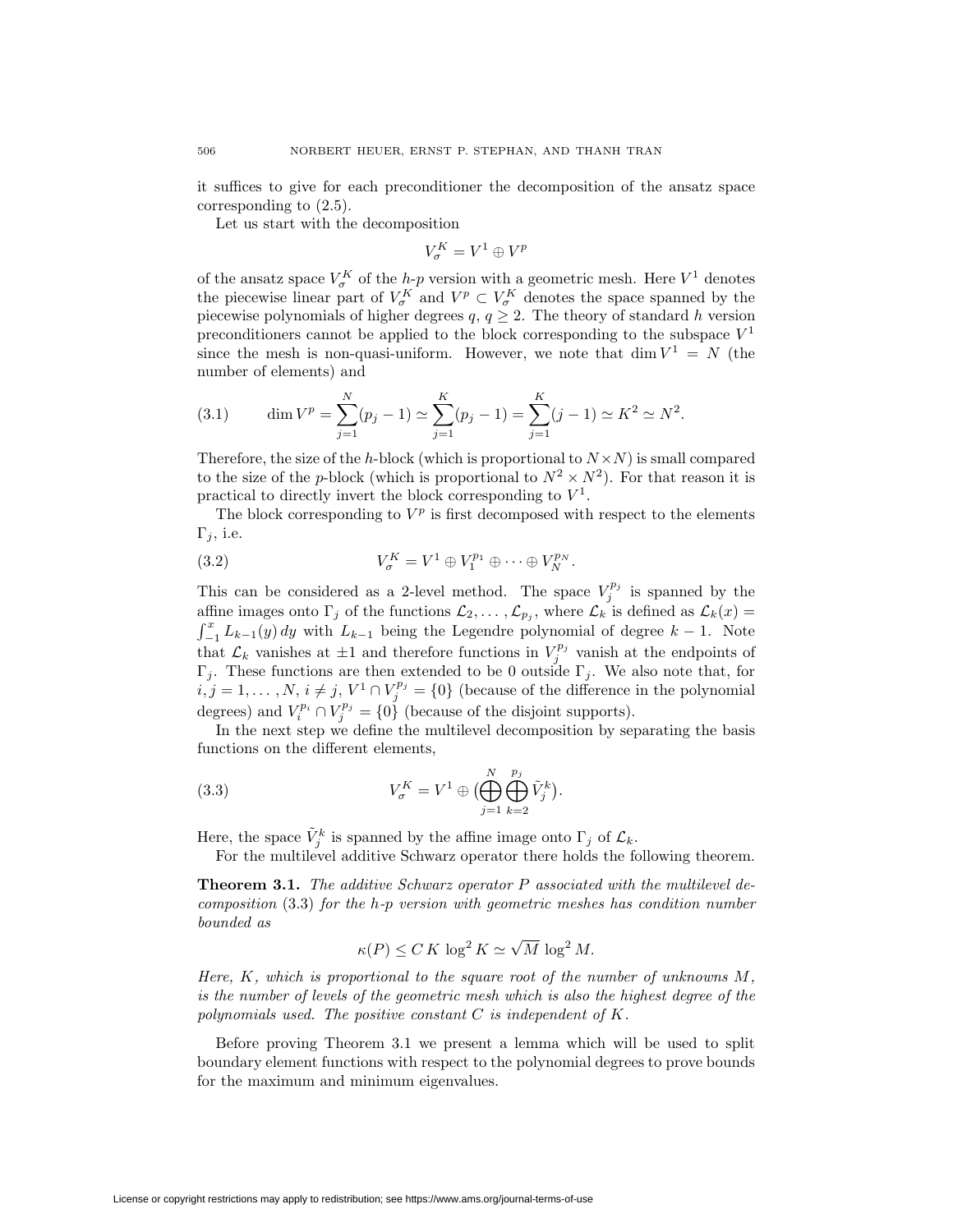it suffices to give for each preconditioner the decomposition of the ansatz space corresponding to (2.5).

Let us start with the decomposition

$$
V_\sigma^K=V^1\oplus V^p
$$

of the ansatz space  $V_{\sigma}^{K}$  of the *h*-*p* version with a geometric mesh. Here  $V^{1}$  denotes the piecewise linear part of  $V_{\sigma}^K$  and  $V^p \subset V_{\sigma}^K$  denotes the space spanned by the piecewise polynomials of higher degrees  $q, q \geq 2$ . The theory of standard *h* version preconditioners cannot be applied to the block corresponding to the subspace  $V^1$ since the mesh is non-quasi-uniform. However, we note that  $\dim V^1 = N$  (the number of elements) and

(3.1) 
$$
\dim V^p = \sum_{j=1}^N (p_j - 1) \simeq \sum_{j=1}^K (p_j - 1) = \sum_{j=1}^K (j - 1) \simeq K^2 \simeq N^2.
$$

Therefore, the size of the *h*-block (which is proportional to  $N \times N$ ) is small compared to the size of the *p*-block (which is proportional to  $N^2 \times N^2$ ). For that reason it is practical to directly invert the block corresponding to  $V^1$ .

The block corresponding to  $V^p$  is first decomposed with respect to the elements Γ*j*, i.e.

(3.2) 
$$
V_{\sigma}^{K} = V^{1} \oplus V_{1}^{p_{1}} \oplus \cdots \oplus V_{N}^{p_{N}}.
$$

This can be considered as a 2-level method. The space  $V_j^{p_j}$  is spanned by the affine images onto  $\Gamma_j$  of the functions  $\mathcal{L}_2, \ldots, \mathcal{L}_{p_j}$ , where  $\mathcal{L}_k$  is defined as  $\mathcal{L}_k(x) =$  $\int_{-1}^{x} L_{k-1}(y) dy$  with  $L_{k-1}$  being the Legendre polynomial of degree  $k-1$ . Note that  $\mathcal{L}_k$  vanishes at  $\pm 1$  and therefore functions in  $V_j^{p_j}$  vanish at the endpoints of Γ*j*. These functions are then extended to be 0 outside Γ*<sup>j</sup>* . We also note that, for *i*, *j* = 1,..., *N*, *i* ≠ *j*,  $V$ <sup>1</sup> ∩  $V_j^{p_j}$  = {0} (because of the difference in the polynomial degrees) and  $V_i^{p_i} \cap V_j^{p_j} = \{0\}$  (because of the disjoint supports).

In the next step we define the multilevel decomposition by separating the basis functions on the different elements,

(3.3) 
$$
V_{\sigma}^{K} = V^{1} \oplus \left(\bigoplus_{j=1}^{N} \bigoplus_{k=2}^{p_{j}} \tilde{V}_{j}^{k}\right).
$$

Here, the space  $\tilde{V}_j^k$  is spanned by the affine image onto  $\Gamma_j$  of  $\mathcal{L}_k$ .

For the multilevel additive Schwarz operator there holds the following theorem.

**Theorem 3.1.** *The additive Schwarz operator P associated with the multilevel decomposition* (3.3) *for the h-p version with geometric meshes has condition number bounded as*

$$
\kappa(P) \le C K \log^2 K \simeq \sqrt{M} \log^2 M.
$$

*Here, K, which is proportional to the square root of the number of unknowns M, is the number of levels of the geometric mesh which is also the highest degree of the polynomials used. The positive constant C is independent of K.*

Before proving Theorem 3.1 we present a lemma which will be used to split boundary element functions with respect to the polynomial degrees to prove bounds for the maximum and minimum eigenvalues.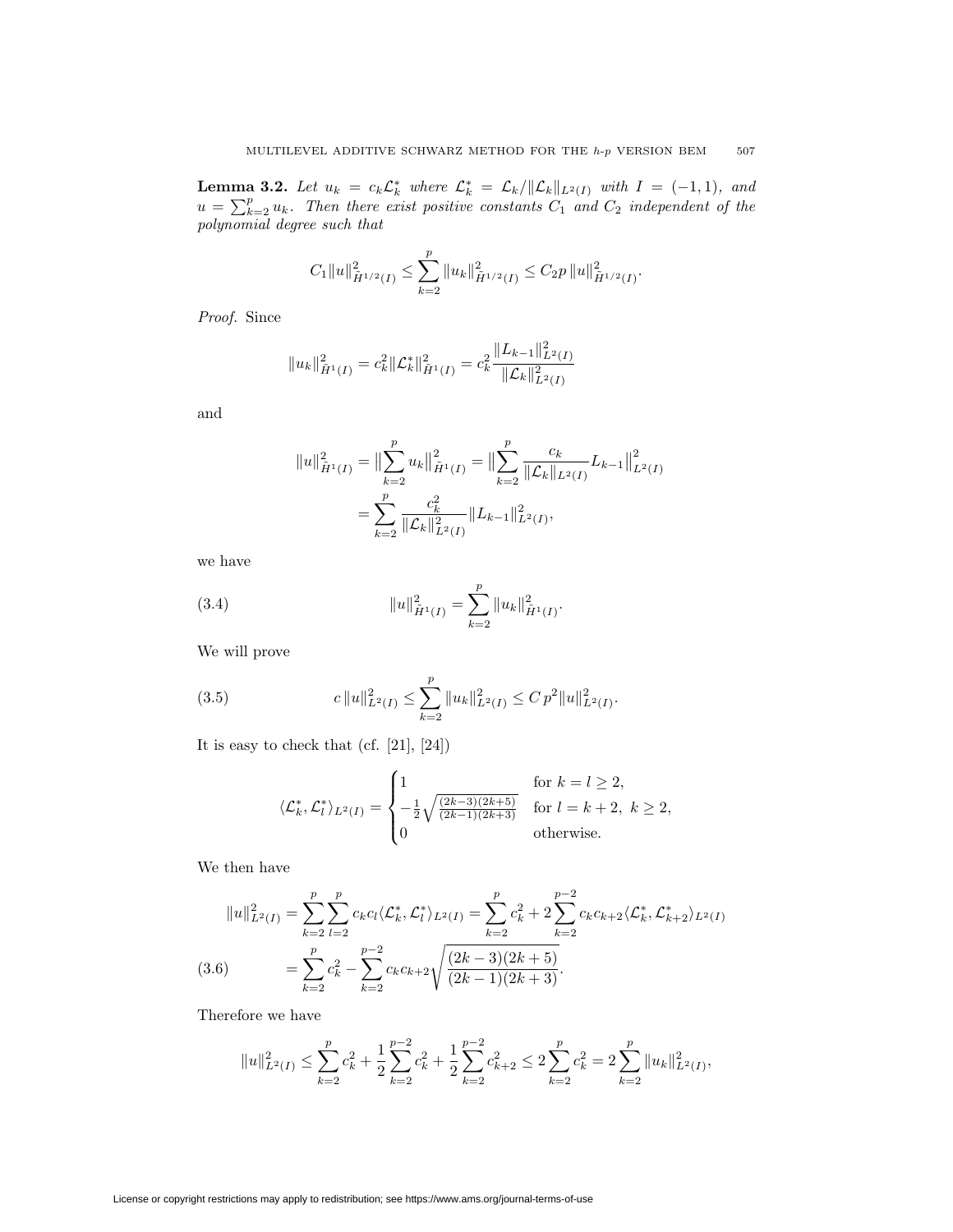**Lemma 3.2.** Let  $u_k = c_k \mathcal{L}_k^*$  where  $\mathcal{L}_k^* = \mathcal{L}_k / ||\mathcal{L}_k||_{L^2(I)}$  with  $I = (-1,1)$ , and  $u = \sum_{k=2}^{p} u_k$ *. Then there exist positive constants*  $C_1$  *and*  $C_2$  *independent of the polynomial degree such that*

$$
C_1||u||_{\tilde{H}^{1/2}(I)}^2 \leq \sum_{k=2}^p ||u_k||_{\tilde{H}^{1/2}(I)}^2 \leq C_2p ||u||_{\tilde{H}^{1/2}(I)}^2.
$$

*Proof.* Since

$$
||u_k||_{\tilde{H}^1(I)}^2 = c_k^2 ||\mathcal{L}_k^*||_{\tilde{H}^1(I)}^2 = c_k^2 \frac{||L_{k-1}||_{L^2(I)}^2}{||\mathcal{L}_k||_{L^2(I)}^2}
$$

and

$$
||u||_{\tilde{H}^{1}(I)}^{2} = ||\sum_{k=2}^{p} u_{k}||_{\tilde{H}^{1}(I)}^{2} = ||\sum_{k=2}^{p} \frac{c_{k}}{||\mathcal{L}_{k}||_{L^{2}(I)}} L_{k-1}||_{L^{2}(I)}^{2}
$$

$$
= \sum_{k=2}^{p} \frac{c_{k}^{2}}{||\mathcal{L}_{k}||_{L^{2}(I)}^{2}} ||L_{k-1}||_{L^{2}(I)}^{2},
$$

we have

(3.4) 
$$
||u||_{\tilde{H}^1(I)}^2 = \sum_{k=2}^p ||u_k||_{\tilde{H}^1(I)}^2.
$$

We will prove

(3.5) 
$$
c\|u\|_{L^2(I)}^2 \leq \sum_{k=2}^p \|u_k\|_{L^2(I)}^2 \leq C p^2 \|u\|_{L^2(I)}^2.
$$

It is easy to check that (cf. [21], [24])

$$
\langle \mathcal{L}_k^*, \mathcal{L}_l^* \rangle_{L^2(I)} = \begin{cases} 1 & \text{for } k = l \ge 2, \\ -\frac{1}{2} \sqrt{\frac{(2k-3)(2k+5)}{(2k-1)(2k+3)}} & \text{for } l = k+2, \ k \ge 2, \\ 0 & \text{otherwise.} \end{cases}
$$

We then have

$$
||u||_{L^{2}(I)}^{2} = \sum_{k=2}^{p} \sum_{l=2}^{p} c_{k} c_{l} \langle \mathcal{L}_{k}^{*}, \mathcal{L}_{l}^{*} \rangle_{L^{2}(I)} = \sum_{k=2}^{p} c_{k}^{2} + 2 \sum_{k=2}^{p-2} c_{k} c_{k+2} \langle \mathcal{L}_{k}^{*}, \mathcal{L}_{k+2}^{*} \rangle_{L^{2}(I)}
$$
  
(3.6) 
$$
= \sum_{k=2}^{p} c_{k}^{2} - \sum_{k=2}^{p-2} c_{k} c_{k+2} \sqrt{\frac{(2k-3)(2k+5)}{(2k-1)(2k+3)}}.
$$

Therefore we have

$$
||u||_{L^{2}(I)}^{2} \leq \sum_{k=2}^{p} c_{k}^{2} + \frac{1}{2} \sum_{k=2}^{p-2} c_{k}^{2} + \frac{1}{2} \sum_{k=2}^{p-2} c_{k+2}^{2} \leq 2 \sum_{k=2}^{p} c_{k}^{2} = 2 \sum_{k=2}^{p} ||u_{k}||_{L^{2}(I)}^{2},
$$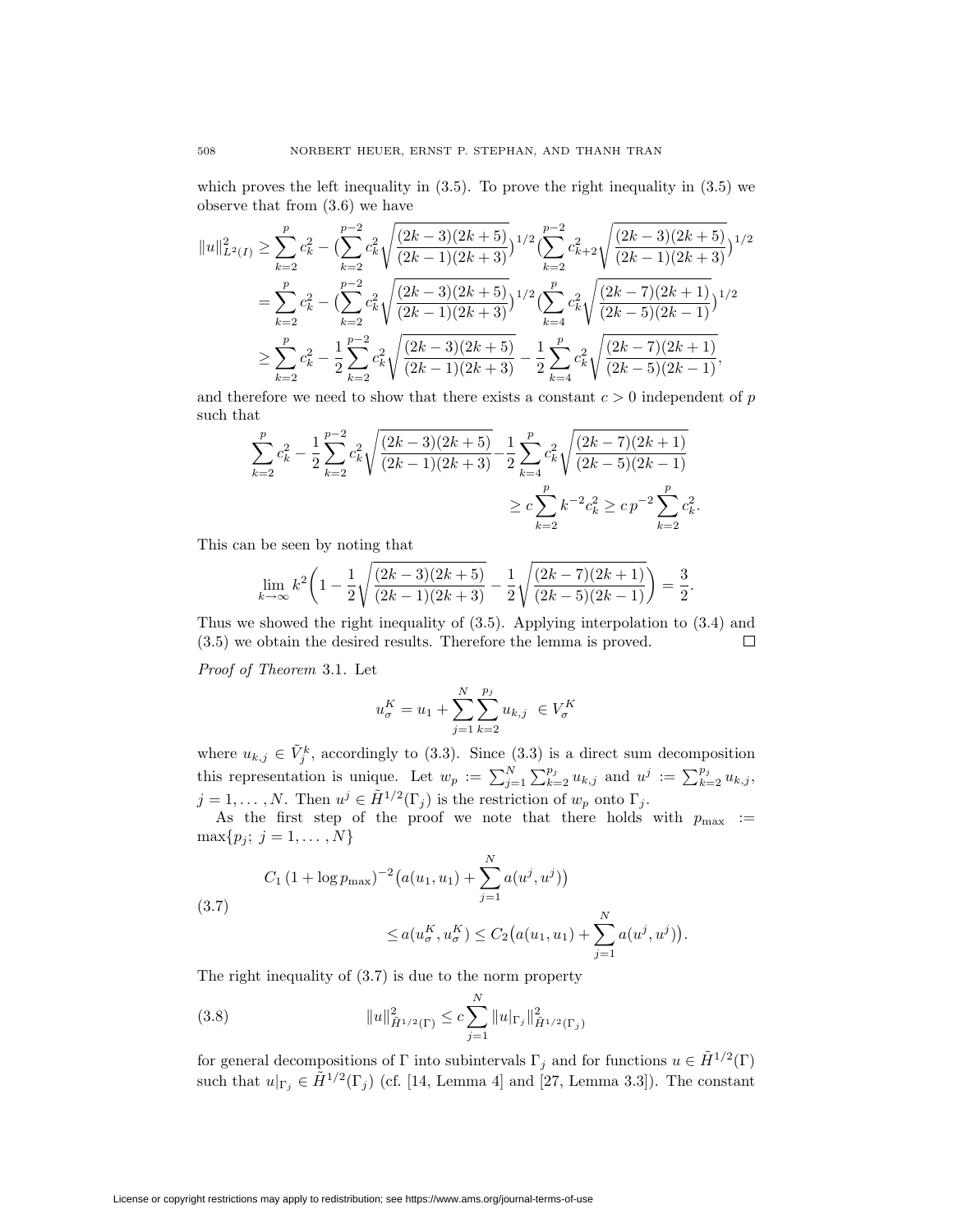which proves the left inequality in (3.5). To prove the right inequality in (3.5) we observe that from (3.6) we have

$$
||u||_{L^{2}(I)}^{2} \geq \sum_{k=2}^{p} c_{k}^{2} - \left(\sum_{k=2}^{p-2} c_{k}^{2} \sqrt{\frac{(2k-3)(2k+5)}{(2k-1)(2k+3)}}\right)^{1/2} \left(\sum_{k=2}^{p-2} c_{k+2}^{2} \sqrt{\frac{(2k-3)(2k+5)}{(2k-1)(2k+3)}}\right)^{1/2}
$$
  

$$
= \sum_{k=2}^{p} c_{k}^{2} - \left(\sum_{k=2}^{p-2} c_{k}^{2} \sqrt{\frac{(2k-3)(2k+5)}{(2k-1)(2k+3)}}\right)^{1/2} \left(\sum_{k=4}^{p} c_{k}^{2} \sqrt{\frac{(2k-7)(2k+1)}{(2k-5)(2k-1)}}\right)^{1/2}
$$
  

$$
\geq \sum_{k=2}^{p} c_{k}^{2} - \frac{1}{2} \sum_{k=2}^{p-2} c_{k}^{2} \sqrt{\frac{(2k-3)(2k+5)}{(2k-1)(2k+3)}} - \frac{1}{2} \sum_{k=4}^{p} c_{k}^{2} \sqrt{\frac{(2k-7)(2k+1)}{(2k-5)(2k-1)}},
$$

and therefore we need to show that there exists a constant  $c > 0$  independent of  $p$ such that

$$
\sum_{k=2}^{p} c_k^2 - \frac{1}{2} \sum_{k=2}^{p-2} c_k^2 \sqrt{\frac{(2k-3)(2k+5)}{(2k-1)(2k+3)}} - \frac{1}{2} \sum_{k=4}^{p} c_k^2 \sqrt{\frac{(2k-7)(2k+1)}{(2k-5)(2k-1)}} \\
\ge c \sum_{k=2}^{p} k^{-2} c_k^2 \ge c p^{-2} \sum_{k=2}^{p} c_k^2.
$$

This can be seen by noting that

$$
\lim_{k \to \infty} k^2 \left( 1 - \frac{1}{2} \sqrt{\frac{(2k-3)(2k+5)}{(2k-1)(2k+3)}} - \frac{1}{2} \sqrt{\frac{(2k-7)(2k+1)}{(2k-5)(2k-1)}} \right) = \frac{3}{2}.
$$

Thus we showed the right inequality of (3.5). Applying interpolation to (3.4) and (3.5) we obtain the desired results. Therefore the lemma is proved.  $\Box$ 

*Proof of Theorem* 3.1*.* Let

$$
u_{\sigma}^{K} = u_1 + \sum_{j=1}^{N} \sum_{k=2}^{p_j} u_{k,j} \ \in V_{\sigma}^{K}
$$

where  $u_{k,j} \in V_j^k$ , accordingly to (3.3). Since (3.3) is a direct sum decomposition this representation is unique. Let  $w_p := \sum_{j=1}^N \sum_{k=2}^{p_j} u_{k,j}$  and  $u^j := \sum_{k=2}^{p_j} u_{k,j}$ ,  $j = 1, \ldots, N$ . Then  $u^j \in \tilde{H}^{1/2}(\Gamma_i)$  is the restriction of  $w_p$  onto  $\Gamma_j$ .

As the first step of the proof we note that there holds with  $p_{\text{max}}$  :=  $\max\{p_j; j = 1, ..., N\}$ 

*.*

(3.7)  
\n
$$
C_1 (1 + \log p_{\max})^{-2} (a(u_1, u_1) + \sum_{j=1}^N a(u^j, u^j))
$$
\n
$$
\leq a(u^K_{\sigma}, u^K_{\sigma}) \leq C_2 (a(u_1, u_1) + \sum_{j=1}^N a(u^j, u^j))
$$

The right inequality of (3.7) is due to the norm property

(3.8) 
$$
||u||_{\tilde{H}^{1/2}(\Gamma)}^2 \leq c \sum_{j=1}^N ||u|_{\Gamma_j} ||_{\tilde{H}^{1/2}(\Gamma_j)}^2
$$

for general decompositions of  $\Gamma$  into subintervals  $\Gamma_j$  and for functions  $u \in \tilde{H}^{1/2}(\Gamma)$ such that  $u|_{\Gamma_j} \in \tilde{H}^{1/2}(\Gamma_j)$  (cf. [14, Lemma 4] and [27, Lemma 3.3]). The constant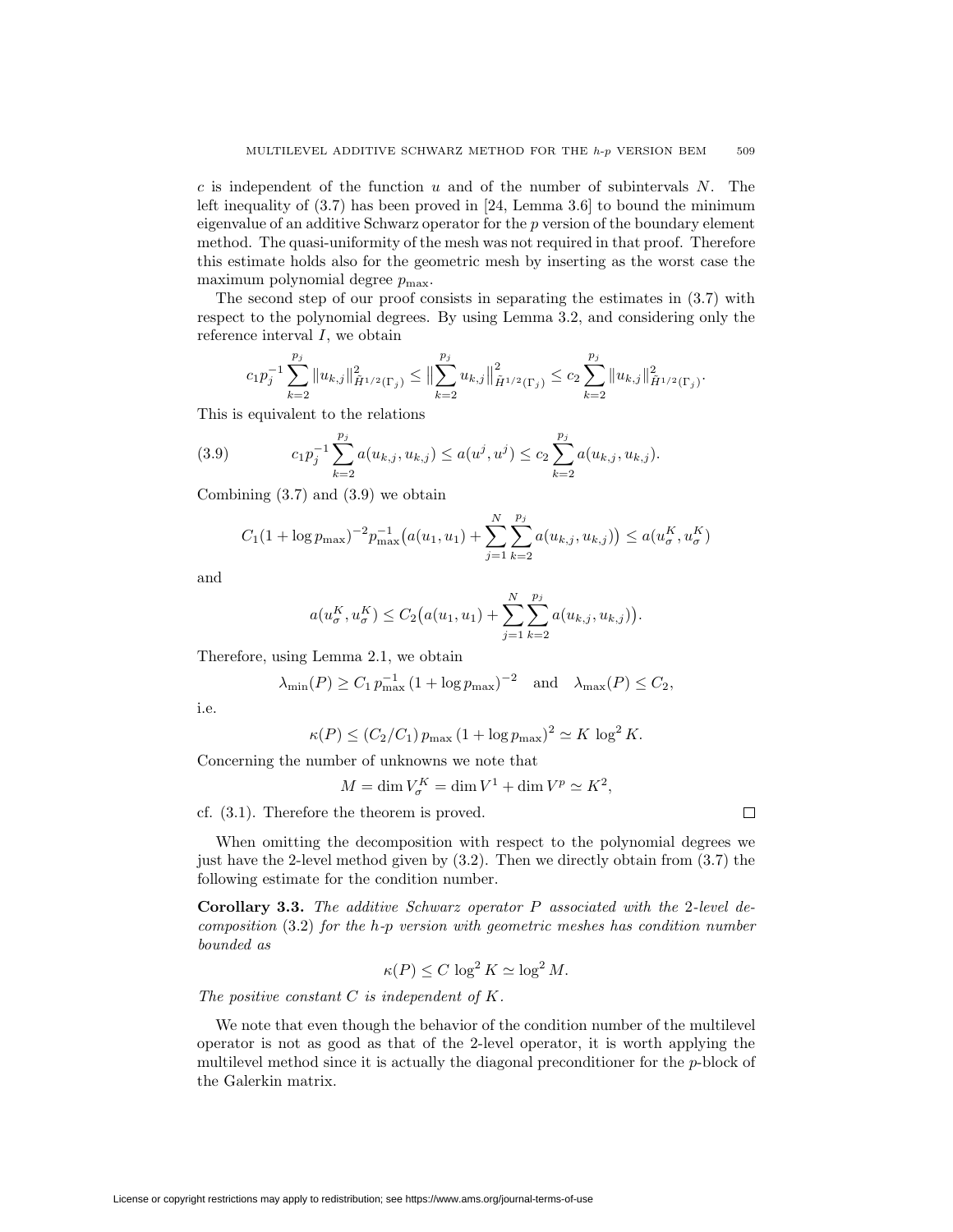*c* is independent of the function *u* and of the number of subintervals *N*. The left inequality of  $(3.7)$  has been proved in [24, Lemma 3.6] to bound the minimum eigenvalue of an additive Schwarz operator for the *p* version of the boundary element method. The quasi-uniformity of the mesh was not required in that proof. Therefore this estimate holds also for the geometric mesh by inserting as the worst case the maximum polynomial degree  $p_{\text{max}}$ .

The second step of our proof consists in separating the estimates in (3.7) with respect to the polynomial degrees. By using Lemma 3.2, and considering only the reference interval *I*, we obtain

$$
c_1 p_j^{-1} \sum_{k=2}^{p_j} \|u_{k,j}\|_{\tilde{H}^{1/2}(\Gamma_j)}^2 \le \|\sum_{k=2}^{p_j} u_{k,j}\|_{\tilde{H}^{1/2}(\Gamma_j)}^2 \le c_2 \sum_{k=2}^{p_j} \|u_{k,j}\|_{\tilde{H}^{1/2}(\Gamma_j)}^2.
$$

This is equivalent to the relations

(3.9) 
$$
c_1 p_j^{-1} \sum_{k=2}^{p_j} a(u_{k,j}, u_{k,j}) \le a(u^j, u^j) \le c_2 \sum_{k=2}^{p_j} a(u_{k,j}, u_{k,j}).
$$

Combining  $(3.7)$  and  $(3.9)$  we obtain

$$
C_1(1 + \log p_{\max})^{-2} p_{\max}^{-1} (a(u_1, u_1) + \sum_{j=1}^{N} \sum_{k=2}^{p_j} a(u_{k,j}, u_{k,j})) \le a(u_{\sigma}^K, u_{\sigma}^K)
$$

and

$$
a(u_{\sigma}^{K}, u_{\sigma}^{K}) \leq C_{2}(a(u_{1}, u_{1}) + \sum_{j=1}^{N} \sum_{k=2}^{p_{j}} a(u_{k,j}, u_{k,j})).
$$

Therefore, using Lemma 2.1, we obtain

$$
\lambda_{\min}(P) \ge C_1 p_{\max}^{-1} (1 + \log p_{\max})^{-2}
$$
 and  $\lambda_{\max}(P) \le C_2$ ,

i.e.

$$
\kappa(P) \le (C_2/C_1) p_{\text{max}} (1 + \log p_{\text{max}})^2 \simeq K \log^2 K.
$$

Concerning the number of unknowns we note that

$$
M = \dim V_{\sigma}^{K} = \dim V^{1} + \dim V^{p} \simeq K^{2},
$$

 $\Box$ 

cf. (3.1). Therefore the theorem is proved.

When omitting the decomposition with respect to the polynomial degrees we just have the 2-level method given by (3.2). Then we directly obtain from (3.7) the following estimate for the condition number.

**Corollary 3.3.** *The additive Schwarz operator P associated with the* 2*-level decomposition* (3.2) *for the h-p version with geometric meshes has condition number bounded as*

$$
\kappa(P) \le C \log^2 K \simeq \log^2 M.
$$

*The positive constant C is independent of K.*

We note that even though the behavior of the condition number of the multilevel operator is not as good as that of the 2-level operator, it is worth applying the multilevel method since it is actually the diagonal preconditioner for the *p*-block of the Galerkin matrix.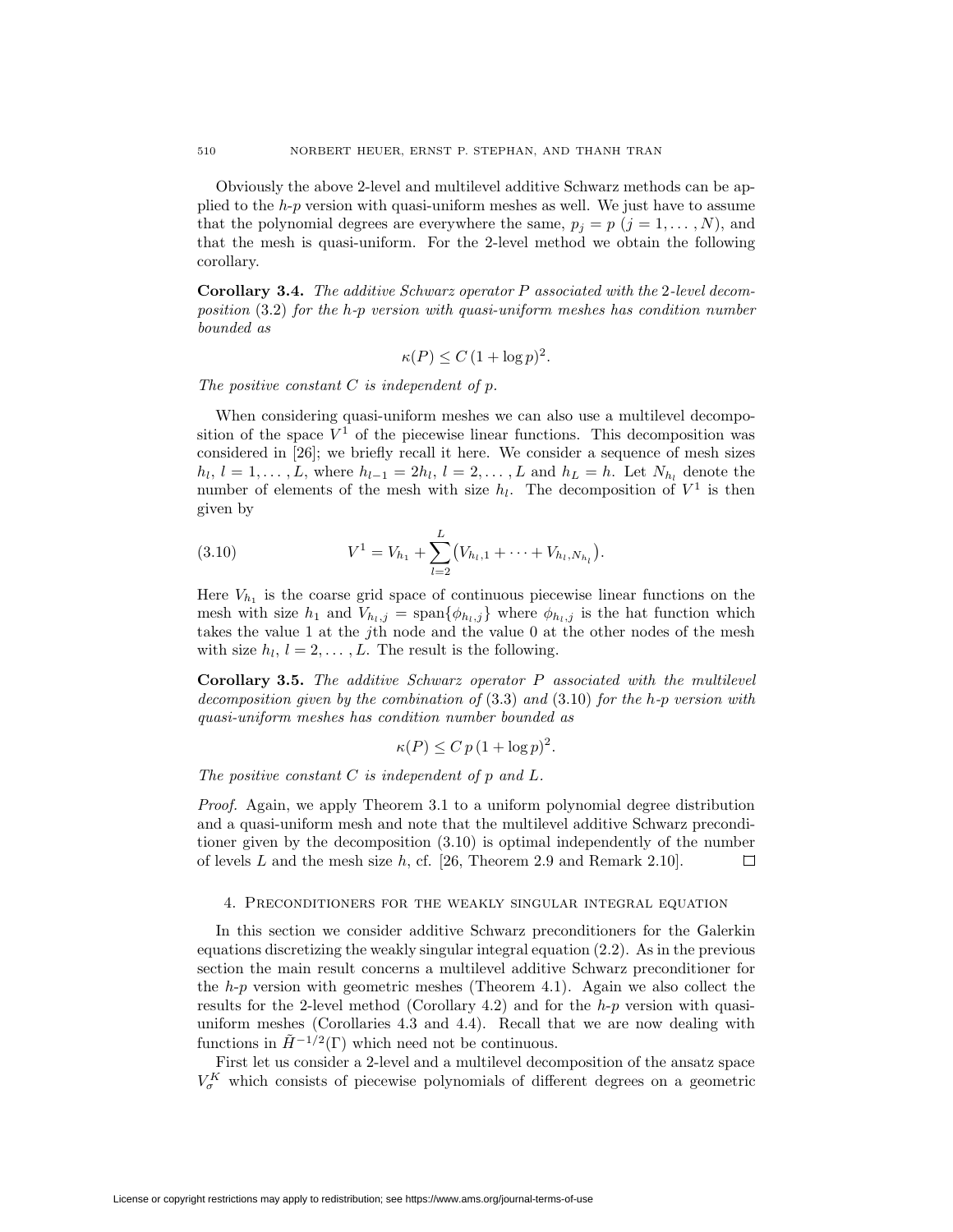Obviously the above 2-level and multilevel additive Schwarz methods can be applied to the *h*-*p* version with quasi-uniform meshes as well. We just have to assume that the polynomial degrees are everywhere the same,  $p_j = p$  ( $j = 1, \ldots, N$ ), and that the mesh is quasi-uniform. For the 2-level method we obtain the following corollary.

**Corollary 3.4.** *The additive Schwarz operator P associated with the* 2*-level decomposition* (3.2) *for the h-p version with quasi-uniform meshes has condition number bounded as*

$$
\kappa(P) \le C (1 + \log p)^2.
$$

*The positive constant C is independent of p.*

When considering quasi-uniform meshes we can also use a multilevel decomposition of the space  $V^1$  of the piecewise linear functions. This decomposition was considered in [26]; we briefly recall it here. We consider a sequence of mesh sizes  $h_l, l = 1, \ldots, L$ , where  $h_{l-1} = 2h_l, l = 2, \ldots, L$  and  $h_L = h$ . Let  $N_{h_l}$  denote the number of elements of the mesh with size  $h_l$ . The decomposition of  $V^1$  is then given by

(3.10) 
$$
V^{1} = V_{h_{1}} + \sum_{l=2}^{L} (V_{h_{l},1} + \cdots + V_{h_{l},N_{h_{l}}}).
$$

Here  $V_{h_1}$  is the coarse grid space of continuous piecewise linear functions on the mesh with size  $h_1$  and  $V_{h_l,j} = \text{span}\{\phi_{h_l,j}\}\$  where  $\phi_{h_l,j}$  is the hat function which takes the value 1 at the *j*th node and the value 0 at the other nodes of the mesh with size  $h_l$ ,  $l = 2, \ldots, L$ . The result is the following.

**Corollary 3.5.** *The additive Schwarz operator P associated with the multilevel decomposition given by the combination of* (3.3) *and* (3.10) *for the h-p version with quasi-uniform meshes has condition number bounded as*

$$
\kappa(P) \le C p (1 + \log p)^2.
$$

*The positive constant C is independent of p and L.*

*Proof.* Again, we apply Theorem 3.1 to a uniform polynomial degree distribution and a quasi-uniform mesh and note that the multilevel additive Schwarz preconditioner given by the decomposition (3.10) is optimal independently of the number of levels *L* and the mesh size *h*, cf. [26, Theorem 2.9 and Remark 2.10]. 口

## 4. Preconditioners for the weakly singular integral equation

In this section we consider additive Schwarz preconditioners for the Galerkin equations discretizing the weakly singular integral equation (2.2). As in the previous section the main result concerns a multilevel additive Schwarz preconditioner for the *h*-*p* version with geometric meshes (Theorem 4.1). Again we also collect the results for the 2-level method (Corollary 4.2) and for the *h*-*p* version with quasiuniform meshes (Corollaries 4.3 and 4.4). Recall that we are now dealing with functions in  $\tilde{H}^{-1/2}(\Gamma)$  which need not be continuous.

First let us consider a 2-level and a multilevel decomposition of the ansatz space  $V_{\sigma}^K$  which consists of piecewise polynomials of different degrees on a geometric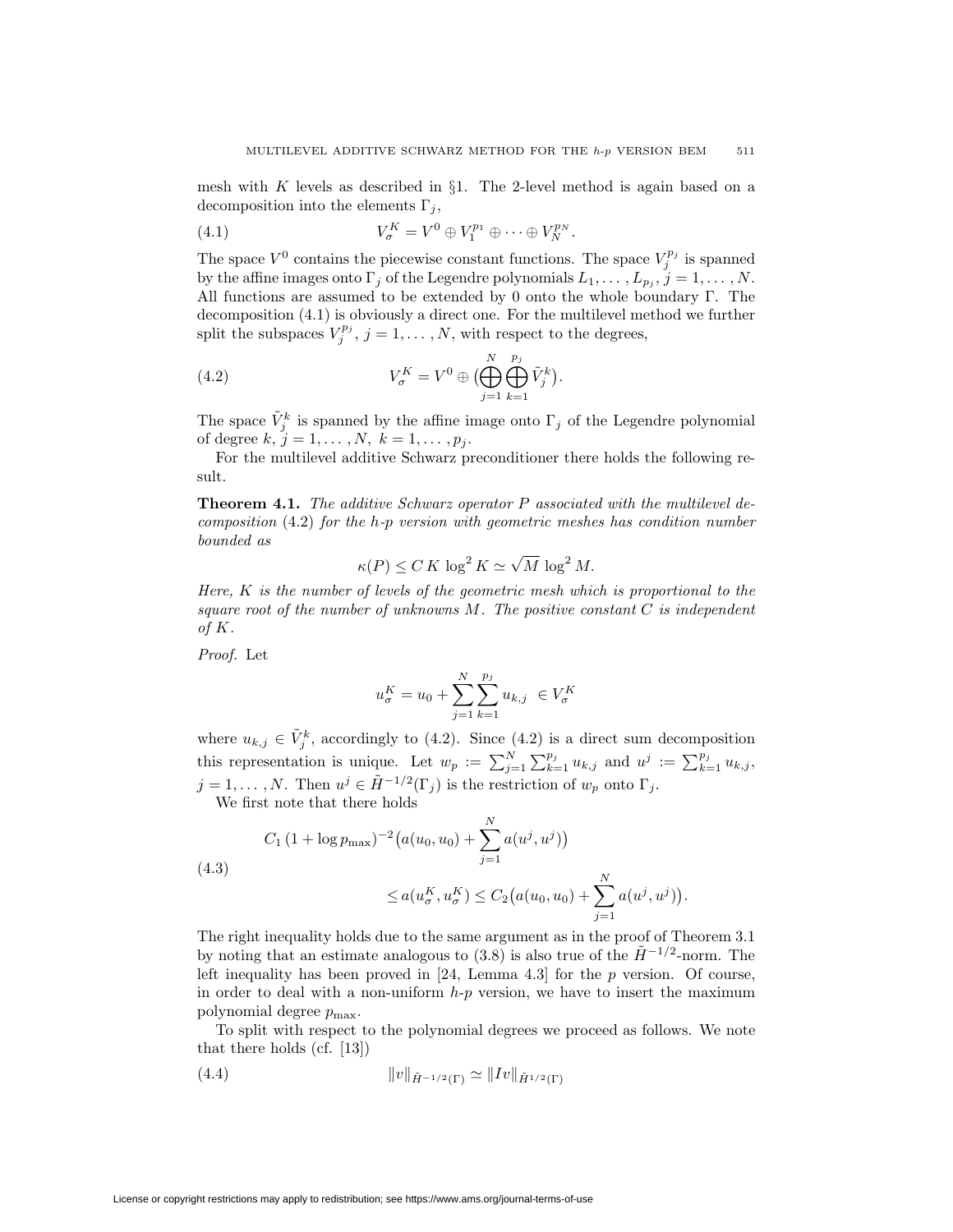mesh with *K* levels as described in *§*1. The 2-level method is again based on a decomposition into the elements  $\Gamma_i$ ,

(4.1) 
$$
V_{\sigma}^{K} = V^{0} \oplus V_{1}^{p_{1}} \oplus \cdots \oplus V_{N}^{p_{N}}.
$$

The space  $V^0$  contains the piecewise constant functions. The space  $V_j^{p_j}$  is spanned by the affine images onto  $\Gamma_j$  of the Legendre polynomials  $L_1, \ldots, L_{p_j}, j = 1, \ldots, N$ . All functions are assumed to be extended by 0 onto the whole boundary Γ. The decomposition (4.1) is obviously a direct one. For the multilevel method we further split the subspaces  $V_j^{p_j}$ ,  $j = 1, \ldots, N$ , with respect to the degrees,

(4.2) 
$$
V_{\sigma}^{K} = V^{0} \oplus \bigoplus_{j=1}^{N} \bigoplus_{k=1}^{p_{j}} \tilde{V}_{j}^{k} \big).
$$

The space  $\tilde{V}^k_j$  is spanned by the affine image onto  $\Gamma_j$  of the Legendre polynomial of degree  $k, j = 1, ..., N, k = 1, ..., p_j$ .

For the multilevel additive Schwarz preconditioner there holds the following result.

**Theorem 4.1.** *The additive Schwarz operator P associated with the multilevel decomposition* (4.2) *for the h-p version with geometric meshes has condition number bounded as*

$$
\kappa(P) \le C K \log^2 K \simeq \sqrt{M} \log^2 M.
$$

*Here, K is the number of levels of the geometric mesh which is proportional to the square root of the number of unknowns M. The positive constant C is independent of K.*

*Proof.* Let

$$
u_\sigma^K = u_0 + \sum_{j=1}^N \sum_{k=1}^{p_j} u_{k,j} \ \in V_\sigma^K
$$

where  $u_{k,j} \in V_j^k$ , accordingly to (4.2). Since (4.2) is a direct sum decomposition this representation is unique. Let  $w_p := \sum_{j=1}^N \sum_{k=1}^{p_j} u_{k,j}$  and  $u^j := \sum_{k=1}^{p_j} u_{k,j}$ ,  $j = 1, \ldots, N$ . Then  $u^j \in \tilde{H}^{-1/2}(\Gamma_j)$  is the restriction of  $w_p$  onto  $\Gamma_j$ .

We first note that there holds

(4.3)  
\n
$$
C_1 (1 + \log p_{\max})^{-2} (a(u_0, u_0) + \sum_{j=1}^N a(u^j, u^j))
$$
\n
$$
\leq a(u^K_{\sigma}, u^K_{\sigma}) \leq C_2 (a(u_0, u_0) + \sum_{j=1}^N a(u^j, u^j)).
$$

The right inequality holds due to the same argument as in the proof of Theorem 3.1 by noting that an estimate analogous to (3.8) is also true of the  $\tilde{H}$ <sup>-1/2</sup>-norm. The left inequality has been proved in [24, Lemma 4.3] for the *p* version. Of course, in order to deal with a non-uniform *h*-*p* version, we have to insert the maximum polynomial degree  $p_{\text{max}}$ .

To split with respect to the polynomial degrees we proceed as follows. We note that there holds (cf. [13])

(4.4) 
$$
||v||_{\tilde{H}^{-1/2}(\Gamma)} \simeq ||Iv||_{\tilde{H}^{1/2}(\Gamma)}
$$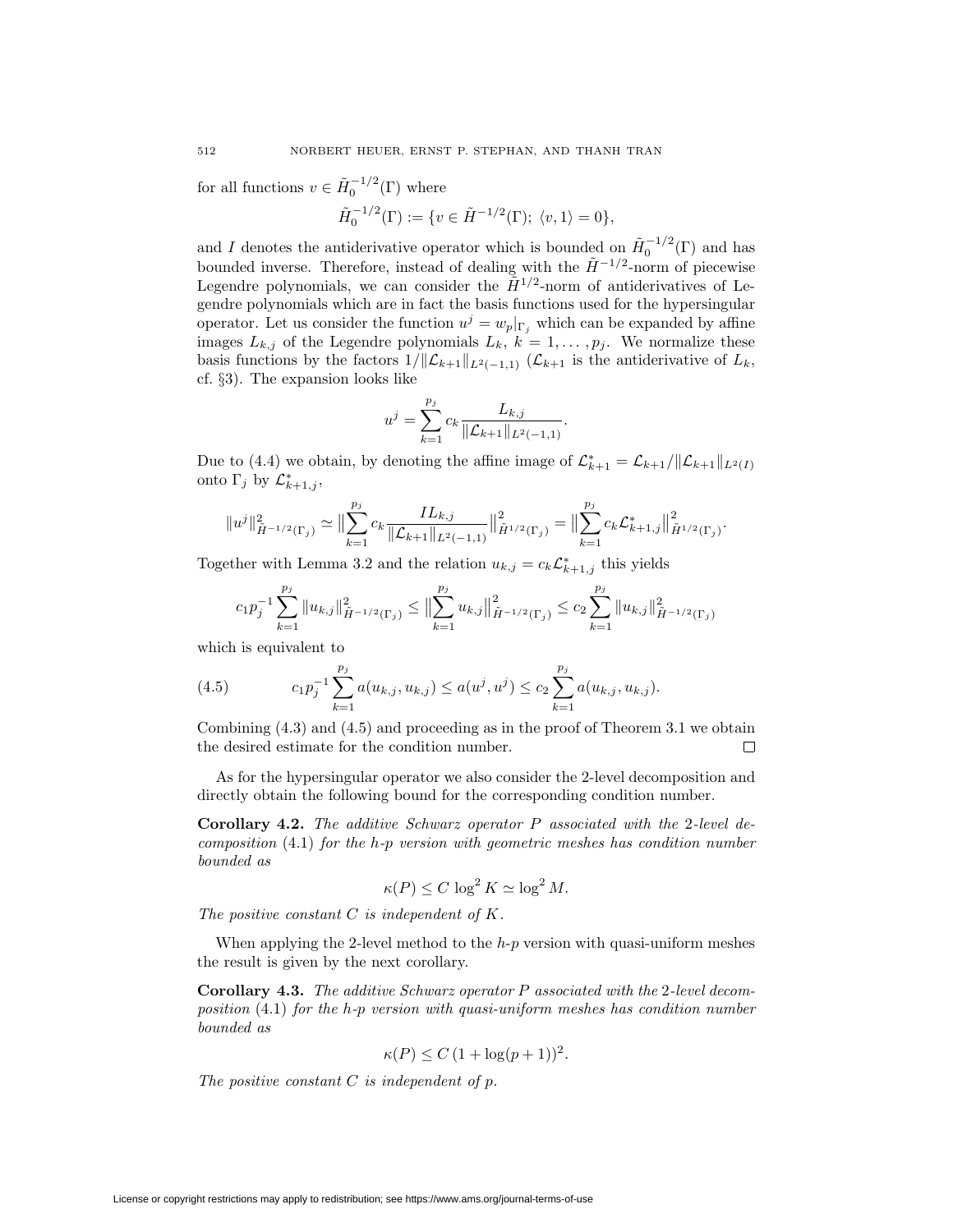for all functions  $v \in \tilde{H}_0^{-1/2}(\Gamma)$  where

$$
\tilde{H}_0^{-1/2}(\Gamma) := \{ v \in \tilde{H}^{-1/2}(\Gamma); \ \langle v, 1 \rangle = 0 \},
$$

and *I* denotes the antiderivative operator which is bounded on  $\tilde{H}_0^{-1/2}(\Gamma)$  and has bounded inverse. Therefore, instead of dealing with the  $\tilde{H}$ <sup>-1/2</sup>-norm of piecewise Legendre polynomials, we can consider the  $\tilde{H}^{1/2}$ -norm of antiderivatives of Legendre polynomials which are in fact the basis functions used for the hypersingular operator. Let us consider the function  $u^j = w_p|_{\Gamma_j}$  which can be expanded by affine images  $L_{k,j}$  of the Legendre polynomials  $L_k$ ,  $k = 1, \ldots, p_j$ . We normalize these basis functions by the factors  $1/||\mathcal{L}_{k+1}||_{L^2(-1,1)}$  ( $\mathcal{L}_{k+1}$  is the antiderivative of  $L_k$ , cf. *§*3). The expansion looks like

$$
u^{j} = \sum_{k=1}^{p_{j}} c_{k} \frac{L_{k,j}}{\|\mathcal{L}_{k+1}\|_{L^{2}(-1,1)}}.
$$

Due to (4.4) we obtain, by denoting the affine image of  $\mathcal{L}_{k+1}^* = \mathcal{L}_{k+1}/\|\mathcal{L}_{k+1}\|_{L^2(I)}$ onto  $\Gamma_j$  by  $\mathcal{L}_{k+1,j}^*$ ,

$$
||u^j||^2_{\tilde{H}^{-1/2}(\Gamma_j)} \simeq ||\sum_{k=1}^{p_j} c_k \frac{IL_{k,j}}{||\mathcal{L}_{k+1}||_{L^2(-1,1)}}||^2_{\tilde{H}^{1/2}(\Gamma_j)} = ||\sum_{k=1}^{p_j} c_k \mathcal{L}_{k+1,j}^*||^2_{\tilde{H}^{1/2}(\Gamma_j)}.
$$

Together with Lemma 3.2 and the relation  $u_{k,j} = c_k \mathcal{L}_{k+1,j}^*$  this yields

$$
c_1 p_j^{-1} \sum_{k=1}^{p_j} \|u_{k,j}\|_{\tilde{H}^{-1/2}(\Gamma_j)}^2 \le \left\|\sum_{k=1}^{p_j} u_{k,j}\right\|_{\tilde{H}^{-1/2}(\Gamma_j)}^2 \le c_2 \sum_{k=1}^{p_j} \|u_{k,j}\|_{\tilde{H}^{-1/2}(\Gamma_j)}^2
$$

which is equivalent to

(4.5) 
$$
c_1 p_j^{-1} \sum_{k=1}^{p_j} a(u_{k,j}, u_{k,j}) \le a(u^j, u^j) \le c_2 \sum_{k=1}^{p_j} a(u_{k,j}, u_{k,j}).
$$

Combining (4.3) and (4.5) and proceeding as in the proof of Theorem 3.1 we obtain the desired estimate for the condition number.  $\Box$ 

As for the hypersingular operator we also consider the 2-level decomposition and directly obtain the following bound for the corresponding condition number.

**Corollary 4.2.** *The additive Schwarz operator P associated with the* 2*-level decomposition* (4.1) *for the h-p version with geometric meshes has condition number bounded as*

$$
\kappa(P) \le C \, \log^2 K \simeq \log^2 M.
$$

*The positive constant C is independent of K.*

When applying the 2-level method to the *h*-*p* version with quasi-uniform meshes the result is given by the next corollary.

**Corollary 4.3.** *The additive Schwarz operator P associated with the* 2*-level decomposition* (4.1) *for the h-p version with quasi-uniform meshes has condition number bounded as*

$$
\kappa(P) \le C \left(1 + \log(p+1)\right)^2.
$$

*The positive constant C is independent of p.*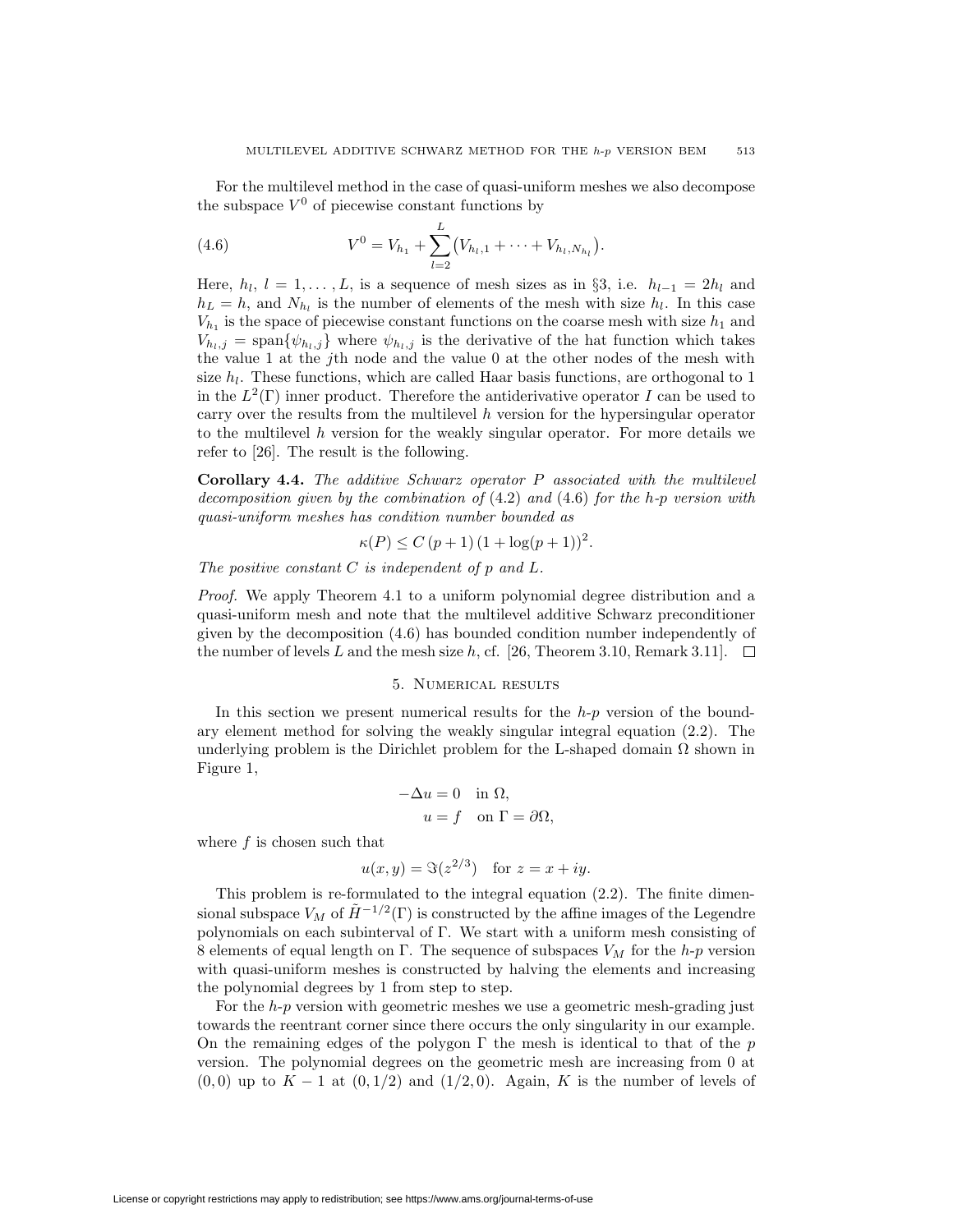For the multilevel method in the case of quasi-uniform meshes we also decompose the subspace  $V^0$  of piecewise constant functions by

(4.6) 
$$
V^0 = V_{h_1} + \sum_{l=2}^{L} (V_{h_l,1} + \cdots + V_{h_l,N_{h_l}}).
$$

Here,  $h_l$ ,  $l = 1, \ldots, L$ , is a sequence of mesh sizes as in §3, i.e.  $h_{l-1} = 2h_l$  and  $h_L = h$ , and  $N_h$  is the number of elements of the mesh with size  $h_l$ . In this case  $V_{h_1}$  is the space of piecewise constant functions on the coarse mesh with size  $h_1$  and  $V_{h_l,j} = \text{span}\{\psi_{h_l,j}\}\$  where  $\psi_{h_l,j}$  is the derivative of the hat function which takes the value 1 at the *j*th node and the value 0 at the other nodes of the mesh with size  $h_l$ . These functions, which are called Haar basis functions, are orthogonal to 1 in the  $L^2(\Gamma)$  inner product. Therefore the antiderivative operator *I* can be used to carry over the results from the multilevel *h* version for the hypersingular operator to the multilevel *h* version for the weakly singular operator. For more details we refer to [26]. The result is the following.

**Corollary 4.4.** *The additive Schwarz operator P associated with the multilevel decomposition given by the combination of* (4.2) *and* (4.6) *for the h-p version with quasi-uniform meshes has condition number bounded as*

$$
\kappa(P) \le C (p+1) (1 + \log(p+1))^2.
$$

*The positive constant C is independent of p and L.*

*Proof.* We apply Theorem 4.1 to a uniform polynomial degree distribution and a quasi-uniform mesh and note that the multilevel additive Schwarz preconditioner given by the decomposition (4.6) has bounded condition number independently of the number of levels L and the mesh size h, cf. [26, Theorem 3.10, Remark 3.11].  $\Box$ 

# 5. Numerical results

In this section we present numerical results for the *h*-*p* version of the boundary element method for solving the weakly singular integral equation (2.2). The underlying problem is the Dirichlet problem for the L-shaped domain  $\Omega$  shown in Figure 1,

$$
-\Delta u = 0 \quad \text{in } \Omega,
$$
  

$$
u = f \quad \text{on } \Gamma = \partial \Omega,
$$

where *f* is chosen such that

$$
u(x, y) = \Im(z^{2/3})
$$
 for  $z = x + iy$ .

This problem is re-formulated to the integral equation (2.2). The finite dimensional subspace  $V_M$  of  $\tilde{H}^{-1/2}(\Gamma)$  is constructed by the affine images of the Legendre polynomials on each subinterval of Γ. We start with a uniform mesh consisting of 8 elements of equal length on Γ. The sequence of subspaces *V<sup>M</sup>* for the *h*-*p* version with quasi-uniform meshes is constructed by halving the elements and increasing the polynomial degrees by 1 from step to step.

For the *h*-*p* version with geometric meshes we use a geometric mesh-grading just towards the reentrant corner since there occurs the only singularity in our example. On the remaining edges of the polygon Γ the mesh is identical to that of the *p* version. The polynomial degrees on the geometric mesh are increasing from 0 at (0*,* 0) up to *K −* 1 at (0*,* 1*/*2) and (1*/*2*,* 0). Again, *K* is the number of levels of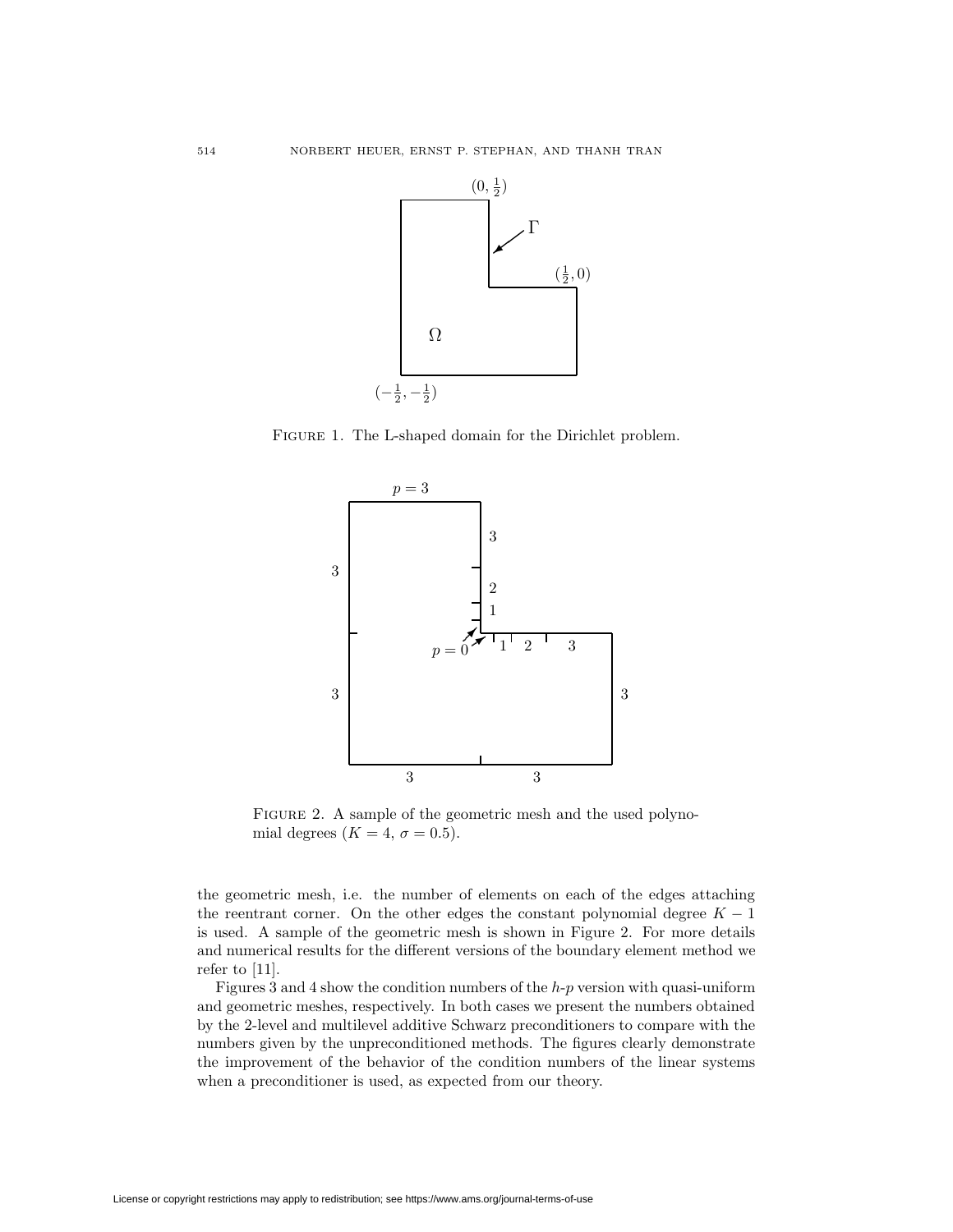

Figure 1. The L-shaped domain for the Dirichlet problem.



FIGURE 2. A sample of the geometric mesh and the used polynomial degrees  $(K = 4, \sigma = 0.5)$ .

the geometric mesh, i.e. the number of elements on each of the edges attaching the reentrant corner. On the other edges the constant polynomial degree  $K-1$ is used. A sample of the geometric mesh is shown in Figure 2. For more details and numerical results for the different versions of the boundary element method we refer to [11].

Figures 3 and 4 show the condition numbers of the *h*-*p* version with quasi-uniform and geometric meshes, respectively. In both cases we present the numbers obtained by the 2-level and multilevel additive Schwarz preconditioners to compare with the numbers given by the unpreconditioned methods. The figures clearly demonstrate the improvement of the behavior of the condition numbers of the linear systems when a preconditioner is used, as expected from our theory.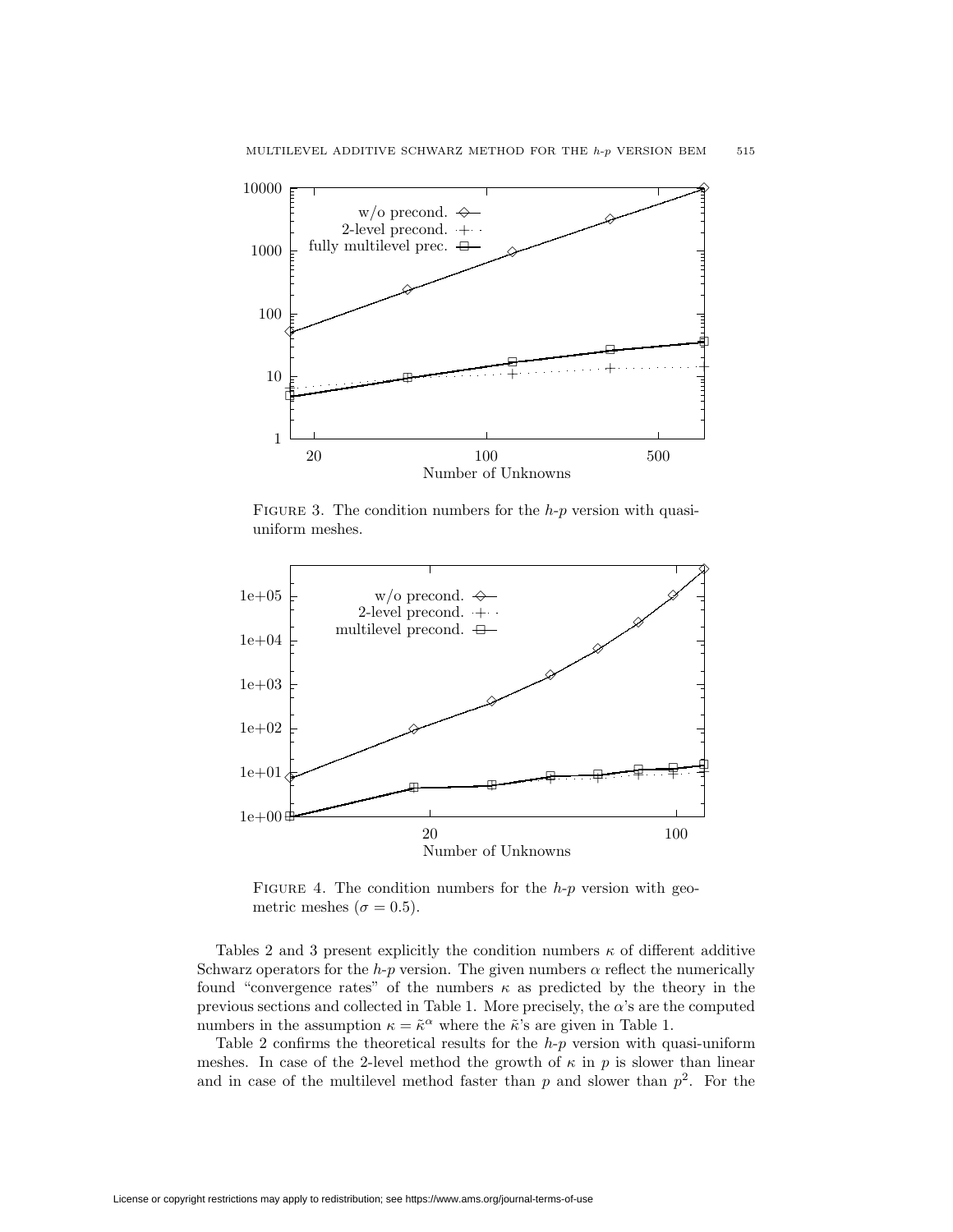

FIGURE 3. The condition numbers for the *h-p* version with quasiuniform meshes.



FIGURE 4. The condition numbers for the *h-p* version with geometric meshes ( $\sigma = 0.5$ ).

Tables 2 and 3 present explicitly the condition numbers  $\kappa$  of different additive Schwarz operators for the *h*-*p* version. The given numbers  $\alpha$  reflect the numerically found "convergence rates" of the numbers  $\kappa$  as predicted by the theory in the previous sections and collected in Table 1. More precisely, the *α*'s are the computed numbers in the assumption  $\kappa = \tilde{\kappa}^{\alpha}$  where the  $\tilde{\kappa}$ 's are given in Table 1.

Table 2 confirms the theoretical results for the *h*-*p* version with quasi-uniform meshes. In case of the 2-level method the growth of  $\kappa$  in  $p$  is slower than linear and in case of the multilevel method faster than  $p$  and slower than  $p^2$ . For the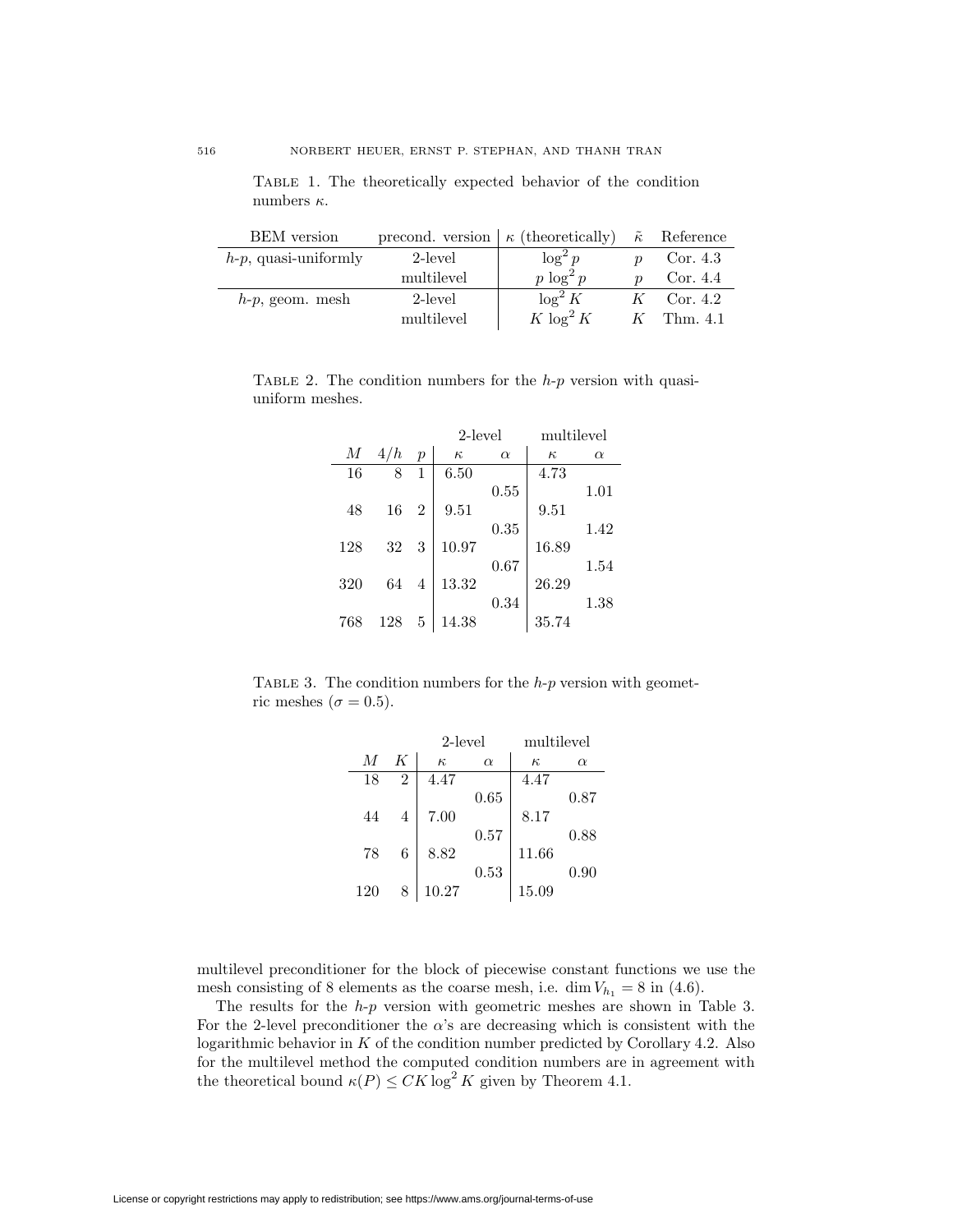Table 1. The theoretically expected behavior of the condition numbers *κ*.

| <b>BEM</b> version      | precond. version $\kappa$ (theoretically) |              |                  | $\tilde{\kappa}$ Reference |
|-------------------------|-------------------------------------------|--------------|------------------|----------------------------|
| $h-p$ , quasi-uniformly | 2-level                                   | $\log^2 p$   | $\boldsymbol{n}$ | Cor. 4.3                   |
|                         | multilevel                                | $p \log^2 p$ |                  | Cor. 4.4                   |
| $h-p$ , geom. mesh      | 2-level                                   | $\log^2 K$   | K                | Cor. $4.2$                 |
|                         | multilevel                                | $K \log^2 K$ |                  | $K$ Thm. 4.1               |

Table 2. The condition numbers for the *h*-*p* version with quasiuniform meshes.

|     |     |                | $2$ -level |          | multilevel |          |
|-----|-----|----------------|------------|----------|------------|----------|
| М   | 4/h | $\mathcal{p}$  | $\kappa$   | $\alpha$ | $\kappa$   | $\alpha$ |
| 16  | 8   | 1              | 6.50       |          | 4.73       |          |
|     |     |                |            | 0.55     |            | 1.01     |
| 48  | 16  | $\overline{2}$ | 9.51       |          | 9.51       |          |
|     |     |                |            | 0.35     |            | 1.42     |
| 128 | 32  | 3              | 10.97      |          | 16.89      |          |
|     |     |                |            | 0.67     |            | 1.54     |
| 320 | 64  | $\overline{4}$ | 13.32      |          | 26.29      |          |
|     |     |                |            | 0.34     |            | 1.38     |
| 768 | 128 | 5              | 14.38      |          | 35.74      |          |

Table 3. The condition numbers for the *h*-*p* version with geometric meshes ( $\sigma = 0.5$ ).

|     |                | 2-level  |          | multilevel |          |
|-----|----------------|----------|----------|------------|----------|
| M   | K              | $\kappa$ | $\alpha$ | $\kappa$   | $\alpha$ |
| 18  | 2              | 4.47     |          | 4.47       |          |
|     |                |          | 0.65     |            | 0.87     |
| 44  | $\overline{4}$ | 7.00     |          | 8.17       |          |
|     |                |          | 0.57     |            | 0.88     |
| 78  | 6              | 8.82     |          | 11.66      |          |
|     |                |          | 0.53     |            | 0.90     |
| 120 | 8              | 10.27    |          | 15.09      |          |

multilevel preconditioner for the block of piecewise constant functions we use the mesh consisting of 8 elements as the coarse mesh, i.e. dim  $V_{h_1} = 8$  in (4.6).

The results for the *h*-*p* version with geometric meshes are shown in Table 3. For the 2-level preconditioner the  $\alpha$ 's are decreasing which is consistent with the logarithmic behavior in *K* of the condition number predicted by Corollary 4.2. Also for the multilevel method the computed condition numbers are in agreement with the theoretical bound  $\kappa(P) \leq CK \log^2 K$  given by Theorem 4.1.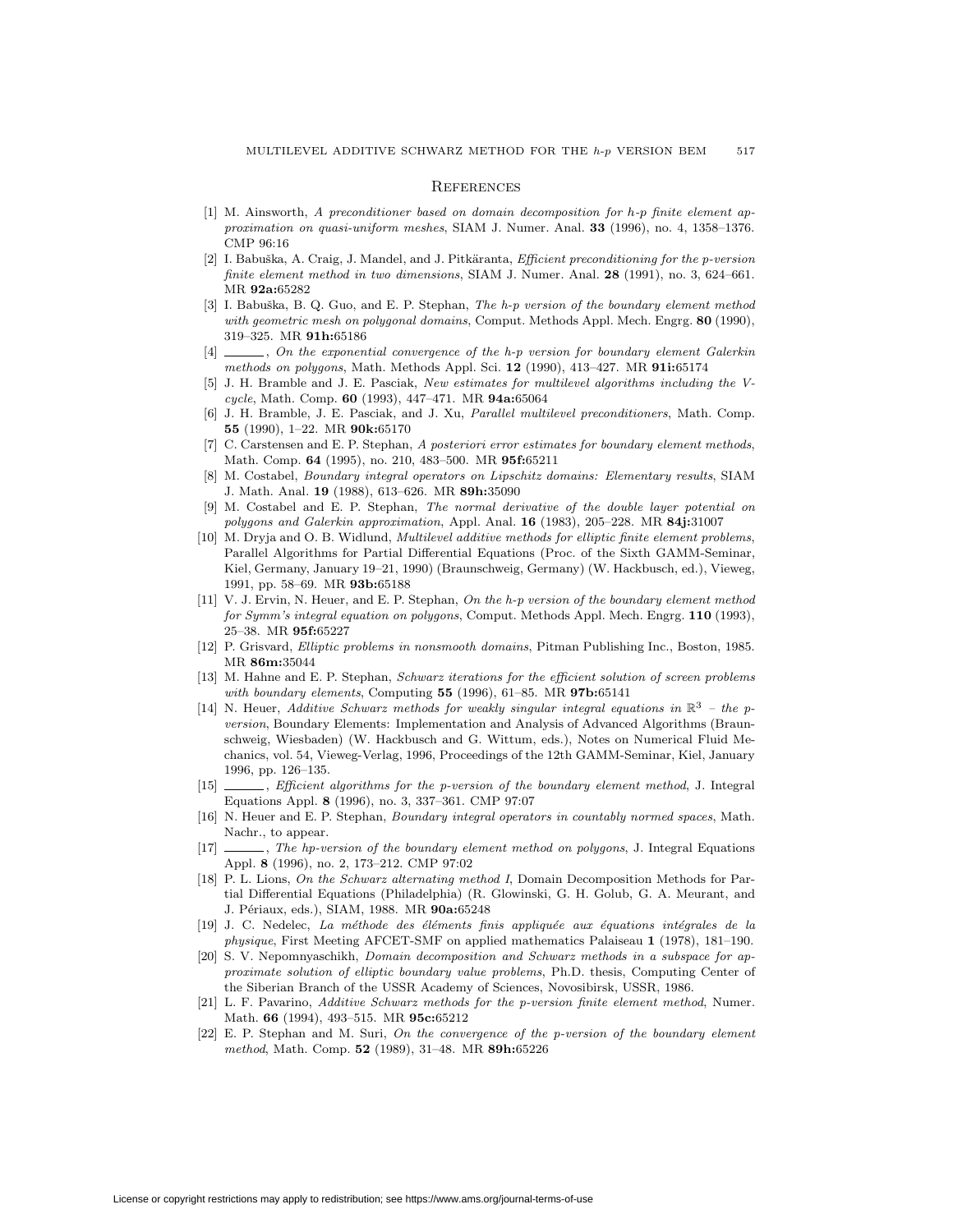#### **REFERENCES**

- [1] M. Ainsworth, A preconditioner based on domain decomposition for *h*-*p* finite element approximation on quasi-uniform meshes, SIAM J. Numer. Anal. **33** (1996), no. 4, 1358–1376. CMP 96:16
- [2] I. Babuška, A. Craig, J. Mandel, and J. Pitkäranta, *Efficient preconditioning for the p-version* finite element method in two dimensions, SIAM J. Numer. Anal. **28** (1991), no. 3, 624–661. MR **92a:**65282
- [3] I. Babuška, B. Q. Guo, and E. P. Stephan, The h-p version of the boundary element method with geometric mesh on polygonal domains, Comput. Methods Appl. Mech. Engrg. **80** (1990), 319–325. MR **91h:**65186
- [4]  $\Box$ , On the exponential convergence of the h-p version for boundary element Galerkin methods on polygons, Math. Methods Appl. Sci. **12** (1990), 413–427. MR **91i:**65174
- [5] J. H. Bramble and J. E. Pasciak, New estimates for multilevel algorithms including the Vcycle, Math. Comp. **60** (1993), 447–471. MR **94a:**65064
- [6] J. H. Bramble, J. E. Pasciak, and J. Xu, Parallel multilevel preconditioners, Math. Comp. **55** (1990), 1–22. MR **90k:**65170
- [7] C. Carstensen and E. P. Stephan, A posteriori error estimates for boundary element methods, Math. Comp. **64** (1995), no. 210, 483–500. MR **95f:**65211
- [8] M. Costabel, Boundary integral operators on Lipschitz domains: Elementary results, SIAM J. Math. Anal. **19** (1988), 613–626. MR **89h:**35090
- [9] M. Costabel and E. P. Stephan, The normal derivative of the double layer potential on polygons and Galerkin approximation, Appl. Anal. **16** (1983), 205–228. MR **84j:**31007
- [10] M. Dryja and O. B. Widlund, Multilevel additive methods for elliptic finite element problems, Parallel Algorithms for Partial Differential Equations (Proc. of the Sixth GAMM-Seminar, Kiel, Germany, January 19–21, 1990) (Braunschweig, Germany) (W. Hackbusch, ed.), Vieweg, 1991, pp. 58–69. MR **93b:**65188
- [11] V. J. Ervin, N. Heuer, and E. P. Stephan, On the h-p version of the boundary element method for Symm's integral equation on polygons, Comput. Methods Appl. Mech. Engrg. **110** (1993), 25–38. MR **95f:**65227
- [12] P. Grisvard, Elliptic problems in nonsmooth domains, Pitman Publishing Inc., Boston, 1985. MR **86m:**35044
- [13] M. Hahne and E. P. Stephan, Schwarz iterations for the efficient solution of screen problems with boundary elements, Computing **55** (1996), 61–85. MR **97b:**65141
- [14] N. Heuer, Additive Schwarz methods for weakly singular integral equations in  $\mathbb{R}^3$  the pversion, Boundary Elements: Implementation and Analysis of Advanced Algorithms (Braunschweig, Wiesbaden) (W. Hackbusch and G. Wittum, eds.), Notes on Numerical Fluid Mechanics, vol. 54, Vieweg-Verlag, 1996, Proceedings of the 12th GAMM-Seminar, Kiel, January 1996, pp. 126–135.
- [15]  $\qquad \qquad$ , Efficient algorithms for the p-version of the boundary element method, J. Integral Equations Appl. **8** (1996), no. 3, 337–361. CMP 97:07
- [16] N. Heuer and E. P. Stephan, Boundary integral operators in countably normed spaces, Math. Nachr., to appear.
- [17]  $\_\_\_\_\$  , The hp-version of the boundary element method on polygons, J. Integral Equations Appl. **8** (1996), no. 2, 173–212. CMP 97:02
- [18] P. L. Lions, On the Schwarz alternating method I, Domain Decomposition Methods for Partial Differential Equations (Philadelphia) (R. Glowinski, G. H. Golub, G. A. Meurant, and J. P´eriaux, eds.), SIAM, 1988. MR **90a:**65248
- [19] J. C. Nedelec, La méthode des éléments finis appliquée aux équations intégrales de la physique, First Meeting AFCET-SMF on applied mathematics Palaiseau **1** (1978), 181–190.
- [20] S. V. Nepomnyaschikh, Domain decomposition and Schwarz methods in a subspace for approximate solution of elliptic boundary value problems, Ph.D. thesis, Computing Center of the Siberian Branch of the USSR Academy of Sciences, Novosibirsk, USSR, 1986.
- [21] L. F. Pavarino, Additive Schwarz methods for the p-version finite element method, Numer. Math. **66** (1994), 493–515. MR **95c:**65212
- [22] E. P. Stephan and M. Suri, On the convergence of the p-version of the boundary element method, Math. Comp. **52** (1989), 31–48. MR **89h:**65226